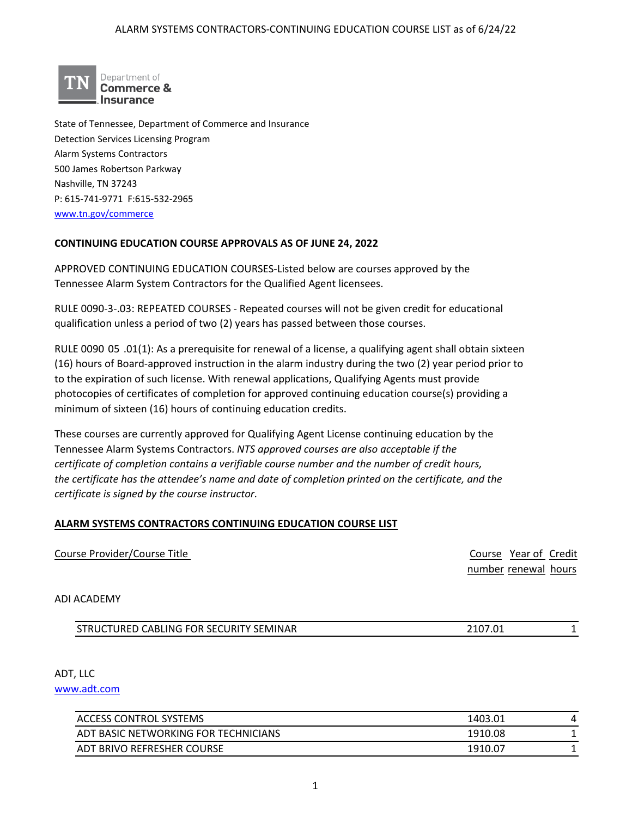

State of Tennessee, Department of Commerce and Insurance Detection Services Licensing Program Alarm Systems Contractors 500 James Robertson Parkway Nashville, TN 37243 P: 615-741-9771 F:615-532-2965 [www.tn.gov/commerce](http://www.tn.gov/commerce)

## **CONTINUING EDUCATION COURSE APPROVALS AS OF JUNE 24, 2022**

APPROVED CONTINUING EDUCATION COURSES-Listed below are courses approved by the Tennessee Alarm System Contractors for the Qualified Agent licensees.

RULE 0090-3-.03: REPEATED COURSES - Repeated courses will not be given credit for educational qualification unless a period of two (2) years has passed between those courses.

RULE 0090 05 .01(1): As a prerequisite for renewal of a license, a qualifying agent shall obtain sixteen (16) hours of Board-approved instruction in the alarm industry during the two (2) year period prior to to the expiration of such license. With renewal applications, Qualifying Agents must provide photocopies of certificates of completion for approved continuing education course(s) providing a minimum of sixteen (16) hours of continuing education credits.

These courses are currently approved for Qualifying Agent License continuing education by the Tennessee Alarm Systems Contractors. *NTS approved courses are also acceptable if the certificate of completion contains a verifiable course number and the number of credit hours, the certificate has the attendee's name and date of completion printed on the certificate, and the certificate is signed by the course instructor.* 

## **ALARM SYSTEMS CONTRACTORS CONTINUING EDUCATION COURSE LIST**

| Course Provider/Course Title | Course Year of Credit |
|------------------------------|-----------------------|
|                              | number renewal hours  |
|                              |                       |

#### ADI ACADEMY

| STRUCTURED CABLING FOR SECURITY SEMINAR | <u>າາດສຸດາ</u><br>∠⊥∪7.∩ |  |
|-----------------------------------------|--------------------------|--|

ADT, LLC

[www.adt.com](http://www.adt.com/)

| 1403.01 |  |
|---------|--|
| 1910.08 |  |
| 1910.07 |  |
|         |  |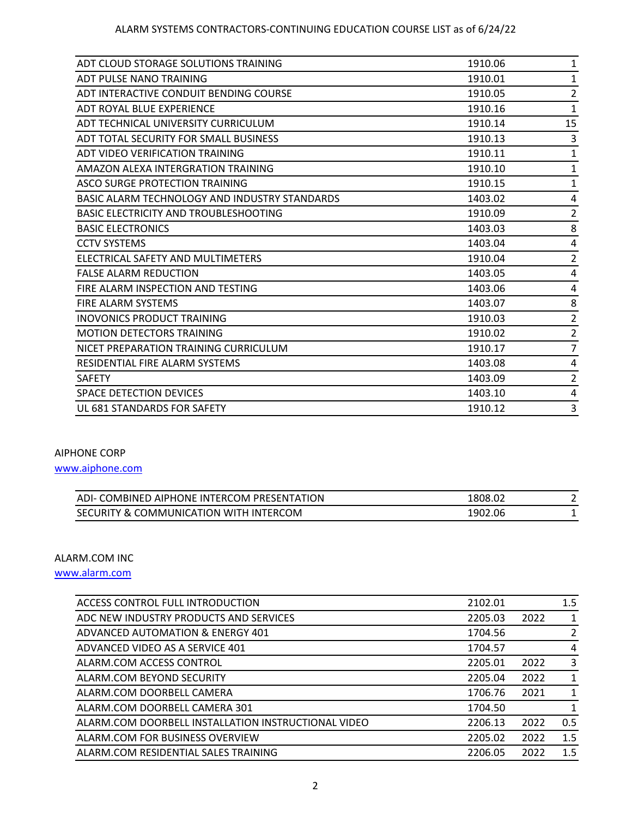| ADT CLOUD STORAGE SOLUTIONS TRAINING          | 1910.06 | 1              |
|-----------------------------------------------|---------|----------------|
| ADT PULSE NANO TRAINING                       | 1910.01 | 1              |
| ADT INTERACTIVE CONDUIT BENDING COURSE        | 1910.05 | $\overline{c}$ |
| ADT ROYAL BLUE EXPERIENCE                     | 1910.16 | 1              |
| ADT TECHNICAL UNIVERSITY CURRICULUM           | 1910.14 | 15             |
| ADT TOTAL SECURITY FOR SMALL BUSINESS         | 1910.13 | 3              |
| ADT VIDEO VERIFICATION TRAINING               | 1910.11 | 1              |
| AMAZON ALEXA INTERGRATION TRAINING            | 1910.10 | $\mathbf{1}$   |
| ASCO SURGE PROTECTION TRAINING                | 1910.15 | 1              |
| BASIC ALARM TECHNOLOGY AND INDUSTRY STANDARDS | 1403.02 | 4              |
| <b>BASIC ELECTRICITY AND TROUBLESHOOTING</b>  | 1910.09 | $\overline{2}$ |
| <b>BASIC ELECTRONICS</b>                      | 1403.03 | 8              |
| <b>CCTV SYSTEMS</b>                           | 1403.04 | 4              |
| ELECTRICAL SAFETY AND MULTIMETERS             | 1910.04 | 2              |
| <b>FALSE ALARM REDUCTION</b>                  | 1403.05 | 4              |
| FIRE ALARM INSPECTION AND TESTING             | 1403.06 | 4              |
| <b>FIRE ALARM SYSTEMS</b>                     | 1403.07 | 8              |
| INOVONICS PRODUCT TRAINING                    | 1910.03 | 2              |
| <b>MOTION DETECTORS TRAINING</b>              | 1910.02 | 2              |
| NICET PREPARATION TRAINING CURRICULUM         | 1910.17 | $\overline{7}$ |
| RESIDENTIAL FIRE ALARM SYSTEMS                | 1403.08 | 4              |
| <b>SAFETY</b>                                 | 1403.09 | $\overline{c}$ |
| SPACE DETECTION DEVICES                       | 1403.10 | 4              |
| UL 681 STANDARDS FOR SAFETY                   | 1910.12 | 3              |

### AIPHONE CORP

[www.aiphone.com](http://www.aiphone.com/)

| ADI- COMBINED AIPHONE INTERCOM PRESENTATION | 1808.02 |  |
|---------------------------------------------|---------|--|
| SECURITY & COMMUNICATION WITH INTERCOM      | 1902.06 |  |

## ALARM.COM INC

[www.alarm.com](http://www.alarm.com/)

| ACCESS CONTROL FULL INTRODUCTION                    | 2102.01 |      | 1.5            |
|-----------------------------------------------------|---------|------|----------------|
| ADC NEW INDUSTRY PRODUCTS AND SERVICES              | 2205.03 | 2022 | -1             |
| ADVANCED AUTOMATION & ENERGY 401                    | 1704.56 |      | $\overline{2}$ |
| ADVANCED VIDEO AS A SERVICE 401                     | 1704.57 |      | $\overline{4}$ |
| ALARM.COM ACCESS CONTROL                            | 2205.01 | 2022 | 3              |
| ALARM.COM BEYOND SECURITY                           | 2205.04 | 2022 | $\overline{1}$ |
| ALARM.COM DOORBELL CAMERA                           | 1706.76 | 2021 | 1              |
| ALARM.COM DOORBELL CAMERA 301                       | 1704.50 |      | $\mathbf{1}$   |
| ALARM.COM DOORBELL INSTALLATION INSTRUCTIONAL VIDEO | 2206.13 | 2022 | 0.5            |
| ALARM.COM FOR BUSINESS OVERVIEW                     | 2205.02 | 2022 | 1.5            |
| ALARM.COM RESIDENTIAL SALES TRAINING                | 2206.05 | 2022 | 1.5            |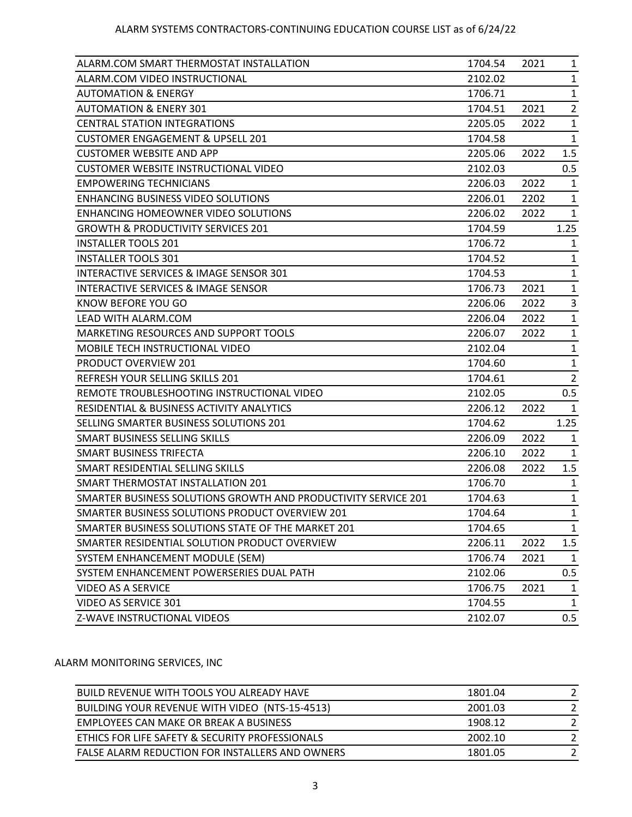| ALARM.COM SMART THERMOSTAT INSTALLATION                        | 1704.54 | 2021 | 1              |
|----------------------------------------------------------------|---------|------|----------------|
| ALARM.COM VIDEO INSTRUCTIONAL                                  | 2102.02 |      | $\mathbf{1}$   |
| <b>AUTOMATION &amp; ENERGY</b>                                 | 1706.71 |      | $\mathbf{1}$   |
| <b>AUTOMATION &amp; ENERY 301</b>                              | 1704.51 | 2021 | $\overline{2}$ |
| <b>CENTRAL STATION INTEGRATIONS</b>                            | 2205.05 | 2022 | $\mathbf{1}$   |
| <b>CUSTOMER ENGAGEMENT &amp; UPSELL 201</b>                    | 1704.58 |      | 1              |
| <b>CUSTOMER WEBSITE AND APP</b>                                | 2205.06 | 2022 | 1.5            |
| <b>CUSTOMER WEBSITE INSTRUCTIONAL VIDEO</b>                    | 2102.03 |      | 0.5            |
| <b>EMPOWERING TECHNICIANS</b>                                  | 2206.03 | 2022 | $\mathbf{1}$   |
| ENHANCING BUSINESS VIDEO SOLUTIONS                             | 2206.01 | 2202 | 1              |
| ENHANCING HOMEOWNER VIDEO SOLUTIONS                            | 2206.02 | 2022 | $\mathbf{1}$   |
| <b>GROWTH &amp; PRODUCTIVITY SERVICES 201</b>                  | 1704.59 |      | 1.25           |
| <b>INSTALLER TOOLS 201</b>                                     | 1706.72 |      | 1              |
| <b>INSTALLER TOOLS 301</b>                                     | 1704.52 |      | $\mathbf{1}$   |
| INTERACTIVE SERVICES & IMAGE SENSOR 301                        | 1704.53 |      | $\mathbf{1}$   |
| INTERACTIVE SERVICES & IMAGE SENSOR                            | 1706.73 | 2021 | $\mathbf{1}$   |
| KNOW BEFORE YOU GO                                             | 2206.06 | 2022 | 3              |
| LEAD WITH ALARM.COM                                            | 2206.04 | 2022 | $\mathbf{1}$   |
| MARKETING RESOURCES AND SUPPORT TOOLS                          | 2206.07 | 2022 | $\mathbf{1}$   |
| MOBILE TECH INSTRUCTIONAL VIDEO                                | 2102.04 |      | $\mathbf{1}$   |
| PRODUCT OVERVIEW 201                                           | 1704.60 |      | $\mathbf{1}$   |
| REFRESH YOUR SELLING SKILLS 201                                | 1704.61 |      | $\overline{2}$ |
| REMOTE TROUBLESHOOTING INSTRUCTIONAL VIDEO                     | 2102.05 |      | 0.5            |
| RESIDENTIAL & BUSINESS ACTIVITY ANALYTICS                      | 2206.12 | 2022 | 1              |
| SELLING SMARTER BUSINESS SOLUTIONS 201                         | 1704.62 |      | 1.25           |
| SMART BUSINESS SELLING SKILLS                                  | 2206.09 | 2022 | $\mathbf{1}$   |
| SMART BUSINESS TRIFECTA                                        | 2206.10 | 2022 | $\mathbf{1}$   |
| SMART RESIDENTIAL SELLING SKILLS                               | 2206.08 | 2022 | 1.5            |
| SMART THERMOSTAT INSTALLATION 201                              | 1706.70 |      | 1              |
| SMARTER BUSINESS SOLUTIONS GROWTH AND PRODUCTIVITY SERVICE 201 | 1704.63 |      | $\mathbf{1}$   |
| SMARTER BUSINESS SOLUTIONS PRODUCT OVERVIEW 201                | 1704.64 |      | $\mathbf{1}$   |
| SMARTER BUSINESS SOLUTIONS STATE OF THE MARKET 201             | 1704.65 |      | $\mathbf{1}$   |
| SMARTER RESIDENTIAL SOLUTION PRODUCT OVERVIEW                  | 2206.11 | 2022 | 1.5            |
| SYSTEM ENHANCEMENT MODULE (SEM)                                | 1706.74 | 2021 | $\mathbf{1}$   |
| SYSTEM ENHANCEMENT POWERSERIES DUAL PATH                       | 2102.06 |      | 0.5            |
| <b>VIDEO AS A SERVICE</b>                                      | 1706.75 | 2021 | $\mathbf{1}$   |
| VIDEO AS SERVICE 301                                           | 1704.55 |      | $\mathbf{1}$   |
| Z-WAVE INSTRUCTIONAL VIDEOS                                    | 2102.07 |      | 0.5            |

### ALARM MONITORING SERVICES, INC

| BUILD REVENUE WITH TOOLS YOU ALREADY HAVE       | 1801.04 |  |
|-------------------------------------------------|---------|--|
| BUILDING YOUR REVENUE WITH VIDEO (NTS-15-4513)  | 2001.03 |  |
| EMPLOYEES CAN MAKE OR BREAK A BUSINESS          | 1908.12 |  |
| ETHICS FOR LIFE SAFETY & SECURITY PROFESSIONALS | 2002.10 |  |
| FALSE ALARM REDUCTION FOR INSTALLERS AND OWNERS | 1801.05 |  |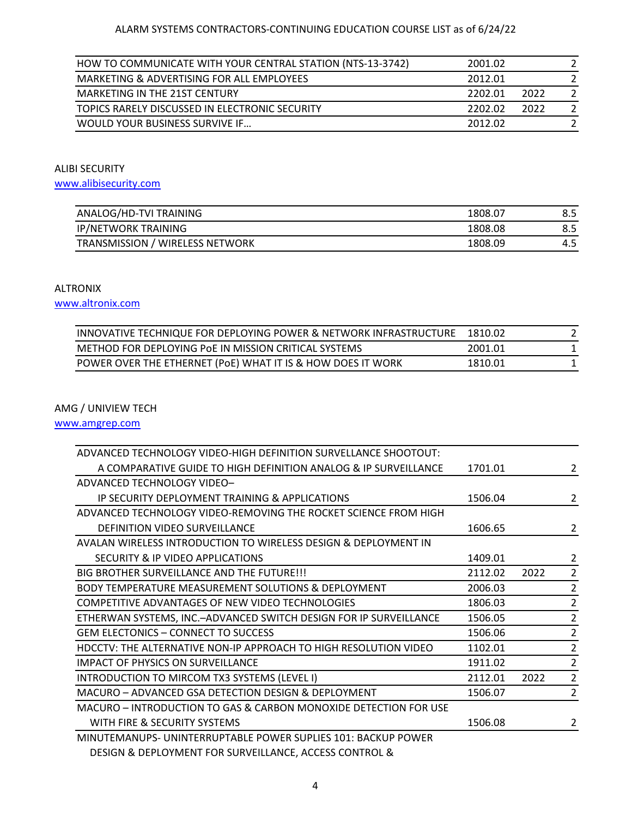| HOW TO COMMUNICATE WITH YOUR CENTRAL STATION (NTS-13-3742) | 2001.02         |  |
|------------------------------------------------------------|-----------------|--|
| MARKETING & ADVERTISING FOR ALL EMPLOYEES                  | 2012.01         |  |
| <b>MARKETING IN THE 21ST CENTURY</b>                       | 2202.01<br>2022 |  |
| TOPICS RARELY DISCUSSED IN ELECTRONIC SECURITY             | 2022<br>2202.02 |  |
| WOULD YOUR BUSINESS SURVIVE IF                             | 2012.02         |  |

ALIBI SECURITY

[www.alibisecurity.com](http://www.alibisecurity.com/)

| ANALOG/HD-TVI TRAINING          | 1808.07 |     |
|---------------------------------|---------|-----|
| <b>IP/NETWORK TRAINING</b>      | 1808.08 |     |
| TRANSMISSION / WIRELESS NETWORK | 1808.09 | 4.5 |

#### ALTRONIX

[www.altronix.com](http://www.altronix.com/)

| INNOVATIVE TECHNIQUE FOR DEPLOYING POWER & NETWORK INFRASTRUCTURE | 1810.02 |  |
|-------------------------------------------------------------------|---------|--|
| METHOD FOR DEPLOYING POE IN MISSION CRITICAL SYSTEMS              | 2001.01 |  |
| POWER OVER THE ETHERNET (PoE) WHAT IT IS & HOW DOES IT WORK       | 1810.01 |  |

## AMG / UNIVIEW TECH

[www.amgrep.com](http://www.amgrep.com/)

| ADVANCED TECHNOLOGY VIDEO-HIGH DEFINITION SURVELLANCE SHOOTOUT:   |         |      |                |
|-------------------------------------------------------------------|---------|------|----------------|
| A COMPARATIVE GUIDE TO HIGH DEFINITION ANALOG & IP SURVEILLANCE   | 1701.01 |      | 2              |
| ADVANCED TECHNOLOGY VIDEO-                                        |         |      |                |
| IP SECURITY DEPLOYMENT TRAINING & APPLICATIONS                    | 1506.04 |      | $\overline{2}$ |
| ADVANCED TECHNOLOGY VIDEO-REMOVING THE ROCKET SCIENCE FROM HIGH   |         |      |                |
| <b>DEFINITION VIDEO SURVEILLANCE</b>                              | 1606.65 |      | 2              |
| AVALAN WIRELESS INTRODUCTION TO WIRELESS DESIGN & DEPLOYMENT IN   |         |      |                |
| SECURITY & IP VIDEO APPLICATIONS                                  | 1409.01 |      | $\overline{2}$ |
| BIG BROTHER SURVEILLANCE AND THE FUTURE!!!                        | 2112.02 | 2022 | $\overline{2}$ |
| BODY TEMPERATURE MEASUREMENT SOLUTIONS & DEPLOYMENT               | 2006.03 |      | $\overline{2}$ |
| COMPETITIVE ADVANTAGES OF NEW VIDEO TECHNOLOGIES                  | 1806.03 |      | $\overline{2}$ |
| ETHERWAN SYSTEMS, INC.-ADVANCED SWITCH DESIGN FOR IP SURVEILLANCE | 1506.05 |      | 2              |
| <b>GEM ELECTONICS - CONNECT TO SUCCESS</b>                        | 1506.06 |      | $\overline{2}$ |
| HDCCTV: THE ALTERNATIVE NON-IP APPROACH TO HIGH RESOLUTION VIDEO  | 1102.01 |      | $\overline{2}$ |
| <b>IMPACT OF PHYSICS ON SURVEILLANCE</b>                          | 1911.02 |      | $\overline{2}$ |
| INTRODUCTION TO MIRCOM TX3 SYSTEMS (LEVEL I)                      | 2112.01 | 2022 | 2              |
| MACURO - ADVANCED GSA DETECTION DESIGN & DEPLOYMENT               | 1506.07 |      | 2              |
| MACURO - INTRODUCTION TO GAS & CARBON MONOXIDE DETECTION FOR USE  |         |      |                |
| WITH FIRE & SECURITY SYSTEMS                                      | 1506.08 |      | 2              |
| MINUTEMANUPS- UNINTERRUPTABLE POWER SUPLIES 101: BACKUP POWER     |         |      |                |
| DESIGN & DEPLOYMENT FOR SURVEILLANCE, ACCESS CONTROL &            |         |      |                |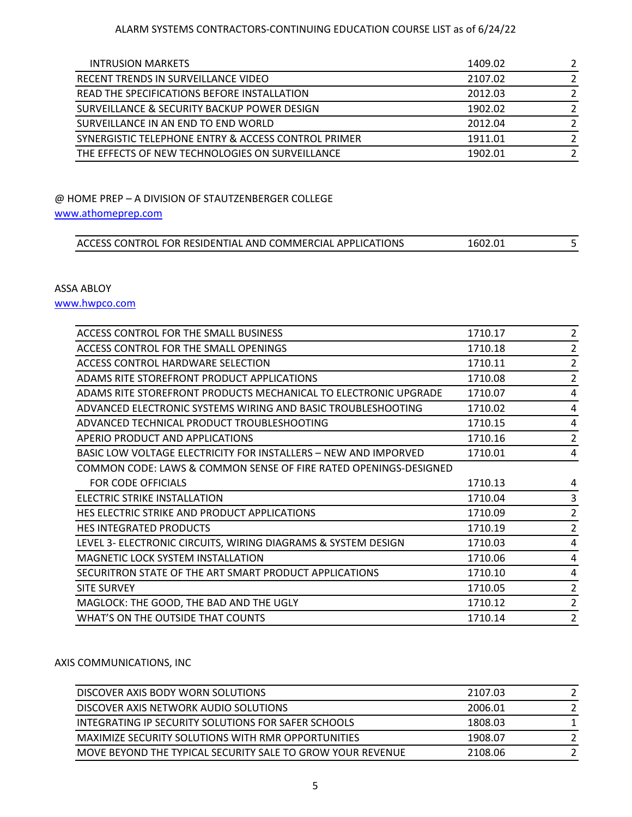|  |  | INTRUSION MARKETS |  |
|--|--|-------------------|--|
|  |  |                   |  |

| <b>INTRUSION MARKETS</b>                            | 1409.02 |  |
|-----------------------------------------------------|---------|--|
| RECENT TRENDS IN SURVEILLANCE VIDEO                 | 2107.02 |  |
| READ THE SPECIFICATIONS BEFORE INSTALLATION         | 2012.03 |  |
| SURVEILLANCE & SECURITY BACKUP POWER DESIGN         | 1902.02 |  |
| SURVEILLANCE IN AN END TO END WORLD                 | 2012.04 |  |
| SYNERGISTIC TELEPHONE ENTRY & ACCESS CONTROL PRIMER | 1911.01 |  |
| THE EFFECTS OF NEW TECHNOLOGIES ON SURVEILLANCE     | 1902.01 |  |

### @ HOME PREP – A DIVISION OF STAUTZENBERGER COLLEGE

## [www.athomeprep.com](http://www.athomeprep.com/)

### ASSA ABLOY

[www.hwpco.com](http://www.hwpco.com/)

| ACCESS CONTROL FOR THE SMALL BUSINESS                            | 1710.17 | 2              |
|------------------------------------------------------------------|---------|----------------|
| ACCESS CONTROL FOR THE SMALL OPENINGS                            | 1710.18 | $\overline{2}$ |
| ACCESS CONTROL HARDWARE SELECTION                                | 1710.11 | $\overline{2}$ |
| ADAMS RITE STOREFRONT PRODUCT APPLICATIONS                       | 1710.08 | 2              |
| ADAMS RITE STOREFRONT PRODUCTS MECHANICAL TO ELECTRONIC UPGRADE  | 1710.07 | 4              |
| ADVANCED ELECTRONIC SYSTEMS WIRING AND BASIC TROUBLESHOOTING     | 1710.02 | 4              |
| ADVANCED TECHNICAL PRODUCT TROUBLESHOOTING                       | 1710.15 | 4              |
| APERIO PRODUCT AND APPLICATIONS                                  | 1710.16 | $\overline{2}$ |
| BASIC LOW VOLTAGE ELECTRICITY FOR INSTALLERS - NEW AND IMPORVED  | 1710.01 | 4              |
| COMMON CODE: LAWS & COMMON SENSE OF FIRE RATED OPENINGS-DESIGNED |         |                |
| <b>FOR CODE OFFICIALS</b>                                        | 1710.13 | 4              |
| ELECTRIC STRIKE INSTALLATION                                     | 1710.04 | 3              |
| HES ELECTRIC STRIKE AND PRODUCT APPLICATIONS                     | 1710.09 | 2              |
| <b>HES INTEGRATED PRODUCTS</b>                                   | 1710.19 | 2              |
| LEVEL 3- ELECTRONIC CIRCUITS, WIRING DIAGRAMS & SYSTEM DESIGN    | 1710.03 | 4              |
| <b>MAGNETIC LOCK SYSTEM INSTALLATION</b>                         | 1710.06 | 4              |
| SECURITRON STATE OF THE ART SMART PRODUCT APPLICATIONS           | 1710.10 | 4              |
| <b>SITE SURVEY</b>                                               | 1710.05 | 2              |
| MAGLOCK: THE GOOD, THE BAD AND THE UGLY                          | 1710.12 | $\overline{2}$ |
| WHAT'S ON THE OUTSIDE THAT COUNTS                                | 1710.14 | 2              |
|                                                                  |         |                |

## AXIS COMMUNICATIONS, INC

| DISCOVER AXIS BODY WORN SOLUTIONS                          | 2107.03 |  |
|------------------------------------------------------------|---------|--|
| DISCOVER AXIS NETWORK AUDIO SOLUTIONS                      | 2006.01 |  |
| INTEGRATING IP SECURITY SOLUTIONS FOR SAFER SCHOOLS        | 1808.03 |  |
| MAXIMIZE SECURITY SOLUTIONS WITH RMR OPPORTUNITIES         | 1908.07 |  |
| MOVE BEYOND THE TYPICAL SECURITY SALE TO GROW YOUR REVENUE | 2108.06 |  |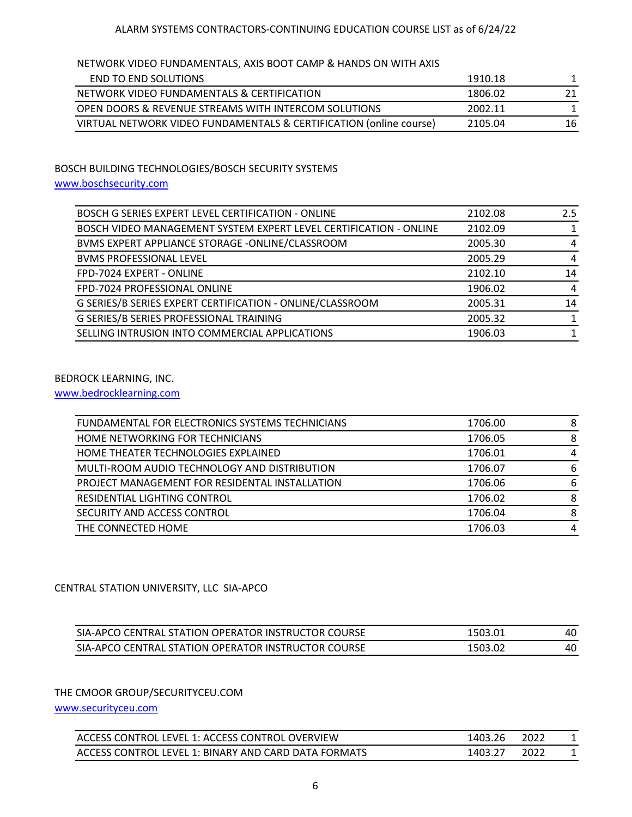### NETWORK VIDEO FUNDAMENTALS, AXIS BOOT CAMP & HANDS ON WITH AXIS

| END TO END SOLUTIONS                                               | 1910.18 |    |
|--------------------------------------------------------------------|---------|----|
| NETWORK VIDEO FUNDAMENTALS & CERTIFICATION                         | 1806.02 | 21 |
| OPEN DOORS & REVENUE STREAMS WITH INTERCOM SOLUTIONS               | 2002.11 |    |
| VIRTUAL NETWORK VIDEO FUNDAMENTALS & CERTIFICATION (online course) | 2105.04 | 16 |

## BOSCH BUILDING TECHNOLOGIES/BOSCH SECURITY SYSTEMS

## [www.boschsecurity.com](http://www.boschsecurity.com/)

| BOSCH G SERIES EXPERT LEVEL CERTIFICATION - ONLINE                | 2102.08 | 2.5 |
|-------------------------------------------------------------------|---------|-----|
| BOSCH VIDEO MANAGEMENT SYSTEM EXPERT LEVEL CERTIFICATION - ONLINE | 2102.09 |     |
| BVMS EXPERT APPLIANCE STORAGE -ONLINE/CLASSROOM                   | 2005.30 | 4   |
| <b>BVMS PROFESSIONAL LEVEL</b>                                    | 2005.29 | 4   |
| FPD-7024 EXPERT - ONLINE                                          | 2102.10 | 14  |
| FPD-7024 PROFESSIONAL ONLINE                                      | 1906.02 | 4   |
| G SERIES/B SERIES EXPERT CERTIFICATION - ONLINE/CLASSROOM         | 2005.31 | 14  |
| G SERIES/B SERIES PROFESSIONAL TRAINING                           | 2005.32 |     |
| SELLING INTRUSION INTO COMMERCIAL APPLICATIONS                    | 1906.03 | 1   |

## BEDROCK LEARNING, INC.

[www.bedrocklearning.com](http://www.bedrocklearning.com/)

| FUNDAMENTAL FOR ELECTRONICS SYSTEMS TECHNICIANS | 1706.00 | -8 |
|-------------------------------------------------|---------|----|
| HOME NETWORKING FOR TECHNICIANS                 | 1706.05 | 8  |
| HOME THEATER TECHNOLOGIES EXPLAINED             | 1706.01 | 4  |
| MULTI-ROOM AUDIO TECHNOLOGY AND DISTRIBUTION    | 1706.07 | 6  |
| PROJECT MANAGEMENT FOR RESIDENTAL INSTALLATION  | 1706.06 | 6  |
| RESIDENTIAL LIGHTING CONTROL                    | 1706.02 | 8  |
| SECURITY AND ACCESS CONTROL                     | 1706.04 | 8  |
| THE CONNECTED HOME                              | 1706.03 | 4  |

### CENTRAL STATION UNIVERSITY, LLC SIA-APCO

| SIA-APCO CENTRAL STATION OPERATOR INSTRUCTOR COURSE | 1503.01 | 40 |
|-----------------------------------------------------|---------|----|
| SIA-APCO CENTRAL STATION OPERATOR INSTRUCTOR COURSE | 1503.02 | 40 |

## THE CMOOR GROUP/SECURITYCEU.COM

[www.securityceu.com](http://www.securityceu.com/)

| ACCESS CONTROL LEVEL 1: ACCESS CONTROL OVERVIEW      | 1403.26 | 2022 |  |
|------------------------------------------------------|---------|------|--|
| ACCESS CONTROL LEVEL 1: BINARY AND CARD DATA FORMATS | 1403.27 | 2022 |  |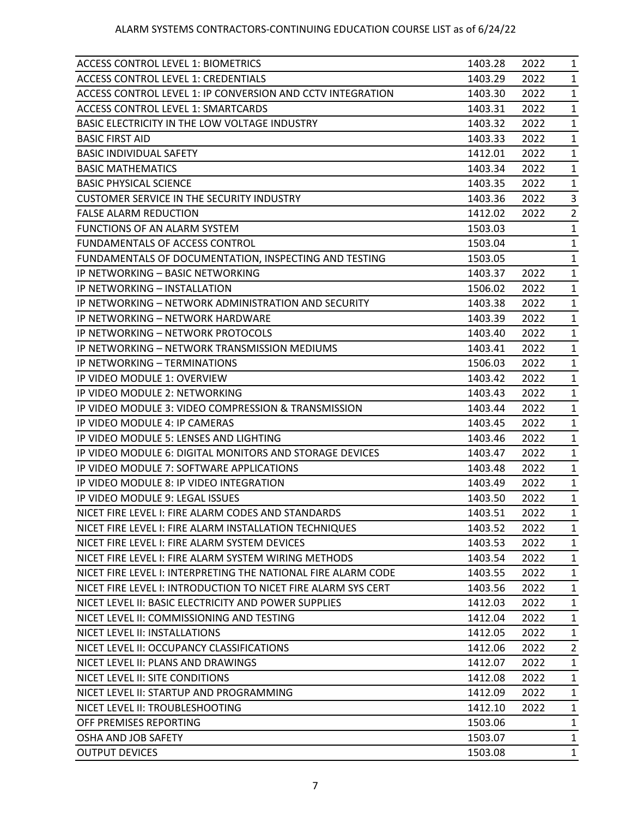| <b>ACCESS CONTROL LEVEL 1: BIOMETRICS</b>                     | 1403.28 | 2022 | $\mathbf{1}$   |
|---------------------------------------------------------------|---------|------|----------------|
| <b>ACCESS CONTROL LEVEL 1: CREDENTIALS</b>                    | 1403.29 | 2022 | $\mathbf{1}$   |
| ACCESS CONTROL LEVEL 1: IP CONVERSION AND CCTV INTEGRATION    | 1403.30 | 2022 | $\mathbf{1}$   |
| <b>ACCESS CONTROL LEVEL 1: SMARTCARDS</b>                     | 1403.31 | 2022 | $\mathbf{1}$   |
| BASIC ELECTRICITY IN THE LOW VOLTAGE INDUSTRY                 | 1403.32 | 2022 | $\mathbf{1}$   |
| <b>BASIC FIRST AID</b>                                        | 1403.33 | 2022 | $\mathbf{1}$   |
| <b>BASIC INDIVIDUAL SAFETY</b>                                | 1412.01 | 2022 | $\mathbf{1}$   |
| <b>BASIC MATHEMATICS</b>                                      | 1403.34 | 2022 | $\mathbf{1}$   |
| <b>BASIC PHYSICAL SCIENCE</b>                                 | 1403.35 | 2022 | $\mathbf{1}$   |
| <b>CUSTOMER SERVICE IN THE SECURITY INDUSTRY</b>              | 1403.36 | 2022 | 3              |
| <b>FALSE ALARM REDUCTION</b>                                  | 1412.02 | 2022 | $\overline{2}$ |
| FUNCTIONS OF AN ALARM SYSTEM                                  | 1503.03 |      | $\mathbf{1}$   |
| FUNDAMENTALS OF ACCESS CONTROL                                | 1503.04 |      | $\mathbf{1}$   |
| FUNDAMENTALS OF DOCUMENTATION, INSPECTING AND TESTING         | 1503.05 |      | $\mathbf{1}$   |
| IP NETWORKING - BASIC NETWORKING                              | 1403.37 | 2022 | $\mathbf{1}$   |
| IP NETWORKING - INSTALLATION                                  | 1506.02 | 2022 | $\mathbf{1}$   |
| IP NETWORKING - NETWORK ADMINISTRATION AND SECURITY           | 1403.38 | 2022 | $\mathbf{1}$   |
| IP NETWORKING - NETWORK HARDWARE                              | 1403.39 | 2022 | $\mathbf{1}$   |
| IP NETWORKING - NETWORK PROTOCOLS                             | 1403.40 | 2022 | $\mathbf{1}$   |
| IP NETWORKING - NETWORK TRANSMISSION MEDIUMS                  | 1403.41 | 2022 | $\mathbf{1}$   |
| IP NETWORKING - TERMINATIONS                                  | 1506.03 | 2022 | $\mathbf{1}$   |
| IP VIDEO MODULE 1: OVERVIEW                                   | 1403.42 | 2022 | $\mathbf{1}$   |
| IP VIDEO MODULE 2: NETWORKING                                 | 1403.43 | 2022 | $\mathbf{1}$   |
| IP VIDEO MODULE 3: VIDEO COMPRESSION & TRANSMISSION           | 1403.44 | 2022 | $\mathbf{1}$   |
| IP VIDEO MODULE 4: IP CAMERAS                                 | 1403.45 | 2022 | $\mathbf{1}$   |
| IP VIDEO MODULE 5: LENSES AND LIGHTING                        | 1403.46 | 2022 | $\mathbf{1}$   |
| IP VIDEO MODULE 6: DIGITAL MONITORS AND STORAGE DEVICES       | 1403.47 | 2022 | $\mathbf{1}$   |
| IP VIDEO MODULE 7: SOFTWARE APPLICATIONS                      | 1403.48 | 2022 | $\mathbf{1}$   |
| IP VIDEO MODULE 8: IP VIDEO INTEGRATION                       | 1403.49 | 2022 | $\mathbf{1}$   |
| IP VIDEO MODULE 9: LEGAL ISSUES                               | 1403.50 | 2022 | $\mathbf{1}$   |
| NICET FIRE LEVEL I: FIRE ALARM CODES AND STANDARDS            | 1403.51 | 2022 | $\mathbf{1}$   |
| NICET FIRE LEVEL I: FIRE ALARM INSTALLATION TECHNIQUES        | 1403.52 | 2022 | $\mathbf{1}$   |
| NICET FIRE LEVEL I: FIRE ALARM SYSTEM DEVICES                 | 1403.53 | 2022 | $\mathbf{1}$   |
| NICET FIRE LEVEL I: FIRE ALARM SYSTEM WIRING METHODS          | 1403.54 | 2022 | $\mathbf{1}$   |
| NICET FIRE LEVEL I: INTERPRETING THE NATIONAL FIRE ALARM CODE | 1403.55 | 2022 | $\mathbf{1}$   |
| NICET FIRE LEVEL I: INTRODUCTION TO NICET FIRE ALARM SYS CERT | 1403.56 | 2022 | $\mathbf{1}$   |
| NICET LEVEL II: BASIC ELECTRICITY AND POWER SUPPLIES          | 1412.03 | 2022 | $\mathbf{1}$   |
| NICET LEVEL II: COMMISSIONING AND TESTING                     | 1412.04 | 2022 | $\mathbf{1}$   |
| NICET LEVEL II: INSTALLATIONS                                 | 1412.05 | 2022 | $\mathbf{1}$   |
| NICET LEVEL II: OCCUPANCY CLASSIFICATIONS                     | 1412.06 | 2022 | $\overline{2}$ |
| NICET LEVEL II: PLANS AND DRAWINGS                            | 1412.07 | 2022 | $\mathbf{1}$   |
| NICET LEVEL II: SITE CONDITIONS                               | 1412.08 | 2022 | $\mathbf{1}$   |
| NICET LEVEL II: STARTUP AND PROGRAMMING                       | 1412.09 | 2022 | $\mathbf{1}$   |
| NICET LEVEL II: TROUBLESHOOTING                               | 1412.10 | 2022 | $\mathbf{1}$   |
| OFF PREMISES REPORTING                                        | 1503.06 |      | $\mathbf{1}$   |
| OSHA AND JOB SAFETY                                           | 1503.07 |      | $\mathbf{1}$   |
| <b>OUTPUT DEVICES</b>                                         | 1503.08 |      | $\mathbf{1}$   |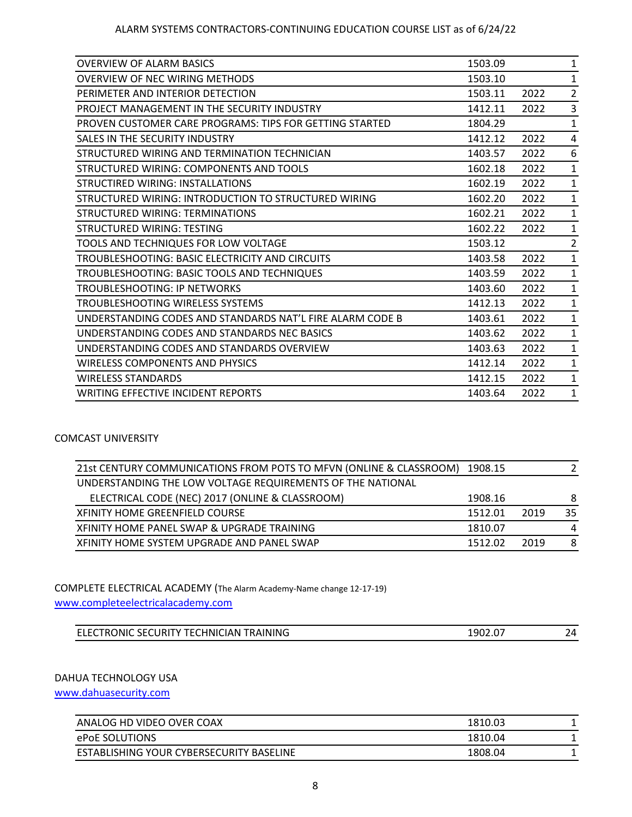| <b>OVERVIEW OF ALARM BASICS</b>                           | 1503.09 |      | $\mathbf{1}$   |
|-----------------------------------------------------------|---------|------|----------------|
| OVERVIEW OF NEC WIRING METHODS                            | 1503.10 |      | 1              |
| PERIMETER AND INTERIOR DETECTION                          | 1503.11 | 2022 | 2              |
| PROJECT MANAGEMENT IN THE SECURITY INDUSTRY               | 1412.11 | 2022 | 3              |
| PROVEN CUSTOMER CARE PROGRAMS: TIPS FOR GETTING STARTED   | 1804.29 |      | 1              |
| SALES IN THE SECURITY INDUSTRY                            | 1412.12 | 2022 | 4              |
| STRUCTURED WIRING AND TERMINATION TECHNICIAN              | 1403.57 | 2022 | 6              |
| STRUCTURED WIRING: COMPONENTS AND TOOLS                   | 1602.18 | 2022 | $\mathbf{1}$   |
| STRUCTIRED WIRING: INSTALLATIONS                          | 1602.19 | 2022 | $\mathbf{1}$   |
| STRUCTURED WIRING: INTRODUCTION TO STRUCTURED WIRING      | 1602.20 | 2022 | $\mathbf{1}$   |
| STRUCTURED WIRING: TERMINATIONS                           | 1602.21 | 2022 | $\mathbf{1}$   |
| STRUCTURED WIRING: TESTING                                | 1602.22 | 2022 | $\mathbf{1}$   |
| TOOLS AND TECHNIQUES FOR LOW VOLTAGE                      | 1503.12 |      | $\overline{2}$ |
| TROUBLESHOOTING: BASIC ELECTRICITY AND CIRCUITS           | 1403.58 | 2022 | 1              |
| TROUBLESHOOTING: BASIC TOOLS AND TECHNIQUES               | 1403.59 | 2022 | 1              |
| TROUBLESHOOTING: IP NETWORKS                              | 1403.60 | 2022 | 1              |
| TROUBLESHOOTING WIRELESS SYSTEMS                          | 1412.13 | 2022 | $\mathbf{1}$   |
| UNDERSTANDING CODES AND STANDARDS NAT'L FIRE ALARM CODE B | 1403.61 | 2022 | $\mathbf{1}$   |
| UNDERSTANDING CODES AND STANDARDS NEC BASICS              | 1403.62 | 2022 | $\mathbf{1}$   |
| UNDERSTANDING CODES AND STANDARDS OVERVIEW                | 1403.63 | 2022 | 1              |
| WIRELESS COMPONENTS AND PHYSICS                           | 1412.14 | 2022 | 1              |
| <b>WIRELESS STANDARDS</b>                                 | 1412.15 | 2022 | $\mathbf{1}$   |
| <b>WRITING EFFECTIVE INCIDENT REPORTS</b>                 | 1403.64 | 2022 | $\mathbf{1}$   |
|                                                           |         |      |                |

## COMCAST UNIVERSITY

| 21st CENTURY COMMUNICATIONS FROM POTS TO MFVN (ONLINE & CLASSROOM) | 1908.15 |      | 2  |
|--------------------------------------------------------------------|---------|------|----|
| UNDERSTANDING THE LOW VOLTAGE REQUIREMENTS OF THE NATIONAL         |         |      |    |
| ELECTRICAL CODE (NEC) 2017 (ONLINE & CLASSROOM)                    | 1908.16 |      | 8  |
| XFINITY HOME GREENFIELD COURSE                                     | 1512.01 | 2019 | 35 |
| XFINITY HOME PANEL SWAP & UPGRADE TRAINING                         | 1810.07 |      | 4  |
| XFINITY HOME SYSTEM UPGRADE AND PANEL SWAP                         | 1512.02 | 2019 | 8  |
|                                                                    |         |      |    |

## COMPLETE ELECTRICAL ACADEMY (The Alarm Academy-Name change 12-17-19)

[www.completeelectricalacademy.com](http://www.completeelectricalacademy.com/)

| <b>TECHNICIAN TRAINING</b> | 1902.0 | ΙЛ. |
|----------------------------|--------|-----|
| <b>ELECTRONIC SECURITY</b> | ົດ 7   |     |
|                            |        |     |

## DAHUA TECHNOLOGY USA

[www.dahuasecurity.com](http://www.dahuasecurity.com/)

| ANALOG HD VIDEO OVER COAX                | 1810.03 |  |
|------------------------------------------|---------|--|
| <b>ePoE SOLUTIONS</b>                    | 1810.04 |  |
| ESTABLISHING YOUR CYBERSECURITY BASELINE | 1808.04 |  |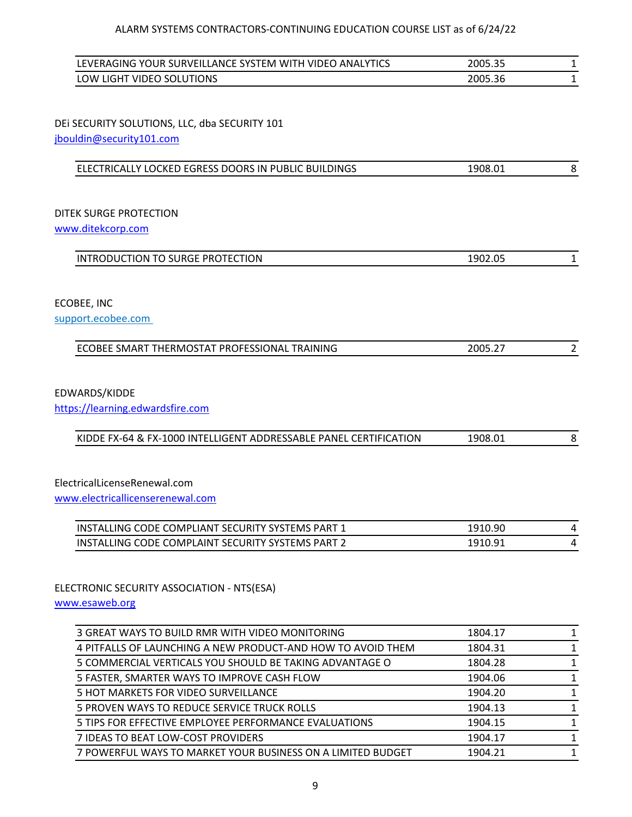| LEVERAGING YOUR SURVEILLANCE SYSTEM WITH VIDEO ANALYTICS | 2005.35 |  |
|----------------------------------------------------------|---------|--|
| LOW LIGHT VIDEO SOLUTIONS                                | 2005.36 |  |

DEi SECURITY SOLUTIONS, LLC, dba SECURITY 101 [jbouldin@security101.com](mailto:jbouldin@security101.com)

| ELECTRICALLY LOCKED EGRESS DOORS IN PUBLIC BUILDINGS<br>1908.01 |  |
|-----------------------------------------------------------------|--|

# DITEK SURGE PROTECTION

[www.ditekcorp.com](http://www.ditekcorp.com/)

ECOBEE, INC support.ecobee.com

| ECOBEE SMART THERMOSTAT PROFESSIONAL TRAINING | 2005.27 |  |
|-----------------------------------------------|---------|--|
|                                               |         |  |

## EDWARDS/KIDDE

[https://learning.edwardsfire.com](https://learning.edwardsfire.com/)

| KIDDE FX-64 & FX-1000 INTELLIGENT ADDRESSABLE PANEL CERTIFICATION | 1908.01 |  |
|-------------------------------------------------------------------|---------|--|
|                                                                   |         |  |

ElectricalLicenseRenewal.com

[www.electricallicenserenewal.com](http://www.electricallicenserenewal.com/)

| INSTALLING CODE COMPLIANT SECURITY SYSTEMS PART 1 | 1910.90 |  |
|---------------------------------------------------|---------|--|
| INSTALLING CODE COMPLAINT SECURITY SYSTEMS PART 2 | 1910.91 |  |

## ELECTRONIC SECURITY ASSOCIATION - NTS(ESA)

[www.esaweb.org](http://www.esaweb.org/)

| 3 GREAT WAYS TO BUILD RMR WITH VIDEO MONITORING             | 1804.17 |              |
|-------------------------------------------------------------|---------|--------------|
| 4 PITFALLS OF LAUNCHING A NEW PRODUCT-AND HOW TO AVOID THEM | 1804.31 | 1            |
| 5 COMMERCIAL VERTICALS YOU SHOULD BE TAKING ADVANTAGE O     | 1804.28 | 1.           |
| 5 FASTER, SMARTER WAYS TO IMPROVE CASH FLOW                 | 1904.06 | $\mathbf{1}$ |
| 5 HOT MARKETS FOR VIDEO SURVEILLANCE                        | 1904.20 | 1            |
| 5 PROVEN WAYS TO REDUCE SERVICE TRUCK ROLLS                 | 1904.13 | 1            |
| 5 TIPS FOR EFFECTIVE EMPLOYEE PERFORMANCE EVALUATIONS       | 1904.15 | 1            |
| 7 IDEAS TO BEAT LOW-COST PROVIDERS                          | 1904.17 | 1.           |
| 7 POWERFUL WAYS TO MARKET YOUR BUSINESS ON A LIMITED BUDGET | 1904.21 | 1            |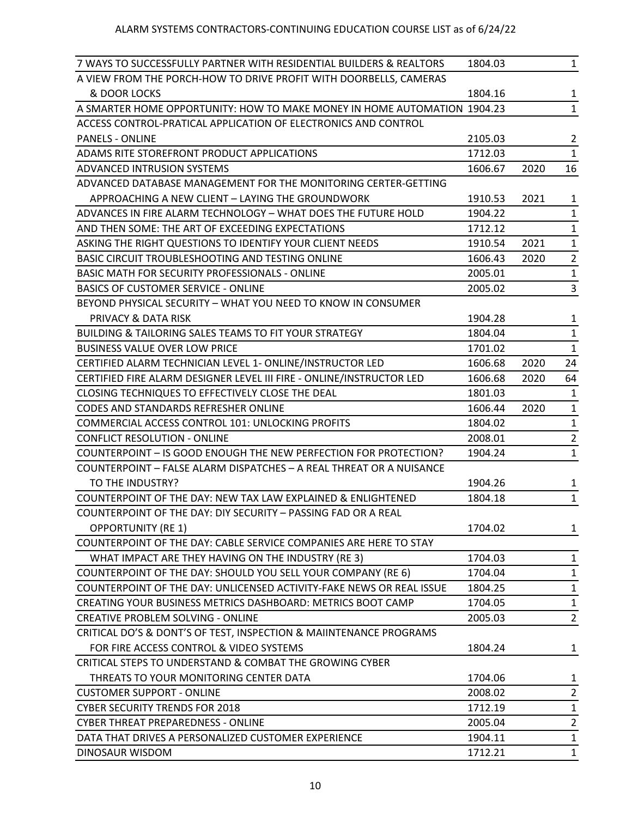| 7 WAYS TO SUCCESSFULLY PARTNER WITH RESIDENTIAL BUILDERS & REALTORS      | 1804.03 |      | $\mathbf{1}$   |
|--------------------------------------------------------------------------|---------|------|----------------|
| A VIEW FROM THE PORCH-HOW TO DRIVE PROFIT WITH DOORBELLS, CAMERAS        |         |      |                |
| & DOOR LOCKS                                                             | 1804.16 |      | $\mathbf{1}$   |
| A SMARTER HOME OPPORTUNITY: HOW TO MAKE MONEY IN HOME AUTOMATION 1904.23 |         |      | $\mathbf{1}$   |
| ACCESS CONTROL-PRATICAL APPLICATION OF ELECTRONICS AND CONTROL           |         |      |                |
| <b>PANELS - ONLINE</b>                                                   | 2105.03 |      | $\overline{2}$ |
| ADAMS RITE STOREFRONT PRODUCT APPLICATIONS                               | 1712.03 |      | $\mathbf{1}$   |
| <b>ADVANCED INTRUSION SYSTEMS</b>                                        | 1606.67 | 2020 | 16             |
| ADVANCED DATABASE MANAGEMENT FOR THE MONITORING CERTER-GETTING           |         |      |                |
| APPROACHING A NEW CLIENT - LAYING THE GROUNDWORK                         | 1910.53 | 2021 | $\mathbf{1}$   |
| ADVANCES IN FIRE ALARM TECHNOLOGY - WHAT DOES THE FUTURE HOLD            | 1904.22 |      | $\mathbf{1}$   |
| AND THEN SOME: THE ART OF EXCEEDING EXPECTATIONS                         | 1712.12 |      | $\mathbf{1}$   |
| ASKING THE RIGHT QUESTIONS TO IDENTIFY YOUR CLIENT NEEDS                 | 1910.54 | 2021 | $\mathbf{1}$   |
| BASIC CIRCUIT TROUBLESHOOTING AND TESTING ONLINE                         | 1606.43 | 2020 | $\overline{2}$ |
| BASIC MATH FOR SECURITY PROFESSIONALS - ONLINE                           | 2005.01 |      | $\mathbf{1}$   |
| <b>BASICS OF CUSTOMER SERVICE - ONLINE</b>                               | 2005.02 |      | 3              |
| BEYOND PHYSICAL SECURITY - WHAT YOU NEED TO KNOW IN CONSUMER             |         |      |                |
| <b>PRIVACY &amp; DATA RISK</b>                                           | 1904.28 |      | $\mathbf{1}$   |
| <b>BUILDING &amp; TAILORING SALES TEAMS TO FIT YOUR STRATEGY</b>         | 1804.04 |      | $\mathbf{1}$   |
| <b>BUSINESS VALUE OVER LOW PRICE</b>                                     | 1701.02 |      | $\mathbf{1}$   |
| CERTIFIED ALARM TECHNICIAN LEVEL 1- ONLINE/INSTRUCTOR LED                | 1606.68 | 2020 | 24             |
| CERTIFIED FIRE ALARM DESIGNER LEVEL III FIRE - ONLINE/INSTRUCTOR LED     | 1606.68 | 2020 | 64             |
| CLOSING TECHNIQUES TO EFFECTIVELY CLOSE THE DEAL                         | 1801.03 |      | $\mathbf{1}$   |
| CODES AND STANDARDS REFRESHER ONLINE                                     | 1606.44 | 2020 | $\mathbf{1}$   |
| COMMERCIAL ACCESS CONTROL 101: UNLOCKING PROFITS                         | 1804.02 |      | $\mathbf{1}$   |
| <b>CONFLICT RESOLUTION - ONLINE</b>                                      | 2008.01 |      | $\overline{2}$ |
| COUNTERPOINT - IS GOOD ENOUGH THE NEW PERFECTION FOR PROTECTION?         | 1904.24 |      | $\mathbf{1}$   |
| COUNTERPOINT - FALSE ALARM DISPATCHES - A REAL THREAT OR A NUISANCE      |         |      |                |
| TO THE INDUSTRY?                                                         | 1904.26 |      | $\mathbf{1}$   |
| COUNTERPOINT OF THE DAY: NEW TAX LAW EXPLAINED & ENLIGHTENED             | 1804.18 |      | $\mathbf{1}$   |
| COUNTERPOINT OF THE DAY: DIY SECURITY - PASSING FAD OR A REAL            |         |      |                |
| <b>OPPORTUNITY (RE 1)</b>                                                | 1704.02 |      | $\mathbf{1}$   |
| COUNTERPOINT OF THE DAY: CABLE SERVICE COMPANIES ARE HERE TO STAY        |         |      |                |
| WHAT IMPACT ARE THEY HAVING ON THE INDUSTRY (RE 3)                       | 1704.03 |      | $\mathbf{1}$   |
| COUNTERPOINT OF THE DAY: SHOULD YOU SELL YOUR COMPANY (RE 6)             | 1704.04 |      | $\mathbf{1}$   |
| COUNTERPOINT OF THE DAY: UNLICENSED ACTIVITY-FAKE NEWS OR REAL ISSUE     | 1804.25 |      | $\mathbf{1}$   |
| CREATING YOUR BUSINESS METRICS DASHBOARD: METRICS BOOT CAMP              | 1704.05 |      | $\mathbf{1}$   |
| <b>CREATIVE PROBLEM SOLVING - ONLINE</b>                                 | 2005.03 |      | $\overline{2}$ |
| CRITICAL DO'S & DONT'S OF TEST, INSPECTION & MAIINTENANCE PROGRAMS       |         |      |                |
| FOR FIRE ACCESS CONTROL & VIDEO SYSTEMS                                  | 1804.24 |      | $\mathbf{1}$   |
| CRITICAL STEPS TO UNDERSTAND & COMBAT THE GROWING CYBER                  |         |      |                |
| THREATS TO YOUR MONITORING CENTER DATA                                   | 1704.06 |      | $\mathbf{1}$   |
| <b>CUSTOMER SUPPORT - ONLINE</b>                                         | 2008.02 |      | $\overline{2}$ |
| <b>CYBER SECURITY TRENDS FOR 2018</b>                                    | 1712.19 |      | $\mathbf{1}$   |
| CYBER THREAT PREPAREDNESS - ONLINE                                       | 2005.04 |      | $\overline{2}$ |
| DATA THAT DRIVES A PERSONALIZED CUSTOMER EXPERIENCE                      | 1904.11 |      | $\mathbf{1}$   |
| DINOSAUR WISDOM                                                          | 1712.21 |      | $\mathbf{1}$   |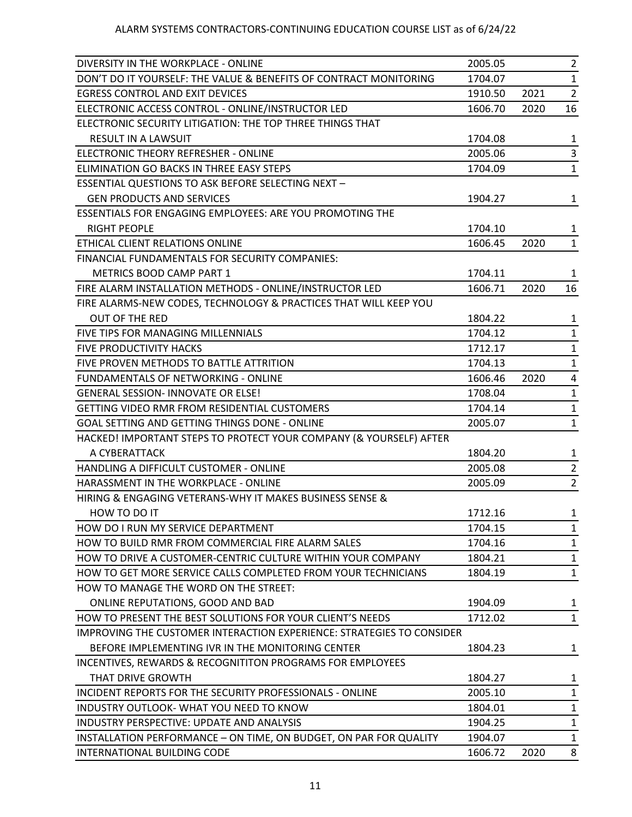| DIVERSITY IN THE WORKPLACE - ONLINE                                          | 2005.05 |      | $\overline{2}$ |
|------------------------------------------------------------------------------|---------|------|----------------|
| DON'T DO IT YOURSELF: THE VALUE & BENEFITS OF CONTRACT MONITORING            | 1704.07 |      | $\mathbf{1}$   |
| <b>EGRESS CONTROL AND EXIT DEVICES</b>                                       | 1910.50 | 2021 | $\overline{2}$ |
| ELECTRONIC ACCESS CONTROL - ONLINE/INSTRUCTOR LED                            | 1606.70 | 2020 | 16             |
| ELECTRONIC SECURITY LITIGATION: THE TOP THREE THINGS THAT                    |         |      |                |
| <b>RESULT IN A LAWSUIT</b>                                                   | 1704.08 |      | 1              |
| ELECTRONIC THEORY REFRESHER - ONLINE                                         | 2005.06 |      | 3              |
| ELIMINATION GO BACKS IN THREE EASY STEPS                                     | 1704.09 |      | $\mathbf{1}$   |
| <b>ESSENTIAL QUESTIONS TO ASK BEFORE SELECTING NEXT -</b>                    |         |      |                |
| <b>GEN PRODUCTS AND SERVICES</b>                                             | 1904.27 |      | $\mathbf{1}$   |
| <b>ESSENTIALS FOR ENGAGING EMPLOYEES: ARE YOU PROMOTING THE</b>              |         |      |                |
| <b>RIGHT PEOPLE</b>                                                          | 1704.10 |      | $\mathbf{1}$   |
| ETHICAL CLIENT RELATIONS ONLINE                                              | 1606.45 | 2020 | $\mathbf{1}$   |
| FINANCIAL FUNDAMENTALS FOR SECURITY COMPANIES:                               |         |      |                |
| <b>METRICS BOOD CAMP PART 1</b>                                              | 1704.11 |      | $\mathbf{1}$   |
| FIRE ALARM INSTALLATION METHODS - ONLINE/INSTRUCTOR LED                      | 1606.71 | 2020 | 16             |
| FIRE ALARMS-NEW CODES, TECHNOLOGY & PRACTICES THAT WILL KEEP YOU             |         |      |                |
| <b>OUT OF THE RED</b>                                                        | 1804.22 |      | $\mathbf{1}$   |
| FIVE TIPS FOR MANAGING MILLENNIALS                                           | 1704.12 |      | $\mathbf{1}$   |
| FIVE PRODUCTIVITY HACKS                                                      | 1712.17 |      | $\mathbf{1}$   |
| FIVE PROVEN METHODS TO BATTLE ATTRITION                                      | 1704.13 |      | $\mathbf{1}$   |
| <b>FUNDAMENTALS OF NETWORKING - ONLINE</b>                                   | 1606.46 | 2020 | 4              |
| <b>GENERAL SESSION- INNOVATE OR ELSE!</b>                                    | 1708.04 |      | $\mathbf{1}$   |
| GETTING VIDEO RMR FROM RESIDENTIAL CUSTOMERS                                 | 1704.14 |      | $\mathbf{1}$   |
| GOAL SETTING AND GETTING THINGS DONE - ONLINE                                | 2005.07 |      | $\mathbf{1}$   |
| HACKED! IMPORTANT STEPS TO PROTECT YOUR COMPANY (& YOURSELF) AFTER           |         |      |                |
| A CYBERATTACK                                                                | 1804.20 |      | $\mathbf{1}$   |
| HANDLING A DIFFICULT CUSTOMER - ONLINE                                       | 2005.08 |      | $\overline{2}$ |
| HARASSMENT IN THE WORKPLACE - ONLINE                                         | 2005.09 |      | $\overline{2}$ |
| HIRING & ENGAGING VETERANS-WHY IT MAKES BUSINESS SENSE &                     |         |      |                |
| HOW TO DO IT                                                                 | 1712.16 |      | 1              |
| HOW DO I RUN MY SERVICE DEPARTMENT                                           | 1704.15 |      | $\mathbf{1}$   |
| HOW TO BUILD RMR FROM COMMERCIAL FIRE ALARM SALES                            | 1704.16 |      | $\mathbf{1}$   |
| HOW TO DRIVE A CUSTOMER-CENTRIC CULTURE WITHIN YOUR COMPANY                  | 1804.21 |      | 1              |
| HOW TO GET MORE SERVICE CALLS COMPLETED FROM YOUR TECHNICIANS                | 1804.19 |      | $\mathbf{1}$   |
| HOW TO MANAGE THE WORD ON THE STREET:                                        |         |      |                |
| ONLINE REPUTATIONS, GOOD AND BAD                                             | 1904.09 |      | 1              |
| HOW TO PRESENT THE BEST SOLUTIONS FOR YOUR CLIENT'S NEEDS                    | 1712.02 |      | 1              |
| <b>IMPROVING THE CUSTOMER INTERACTION EXPERIENCE: STRATEGIES TO CONSIDER</b> |         |      |                |
| BEFORE IMPLEMENTING IVR IN THE MONITORING CENTER                             | 1804.23 |      | $\mathbf{1}$   |
| INCENTIVES, REWARDS & RECOGNITITON PROGRAMS FOR EMPLOYEES                    |         |      |                |
| THAT DRIVE GROWTH                                                            | 1804.27 |      | 1              |
| INCIDENT REPORTS FOR THE SECURITY PROFESSIONALS - ONLINE                     | 2005.10 |      | 1              |
| INDUSTRY OUTLOOK- WHAT YOU NEED TO KNOW                                      | 1804.01 |      | $\mathbf{1}$   |
| INDUSTRY PERSPECTIVE: UPDATE AND ANALYSIS                                    | 1904.25 |      | $\mathbf{1}$   |
| INSTALLATION PERFORMANCE - ON TIME, ON BUDGET, ON PAR FOR QUALITY            | 1904.07 |      | $\mathbf{1}$   |
| INTERNATIONAL BUILDING CODE                                                  | 1606.72 | 2020 | 8              |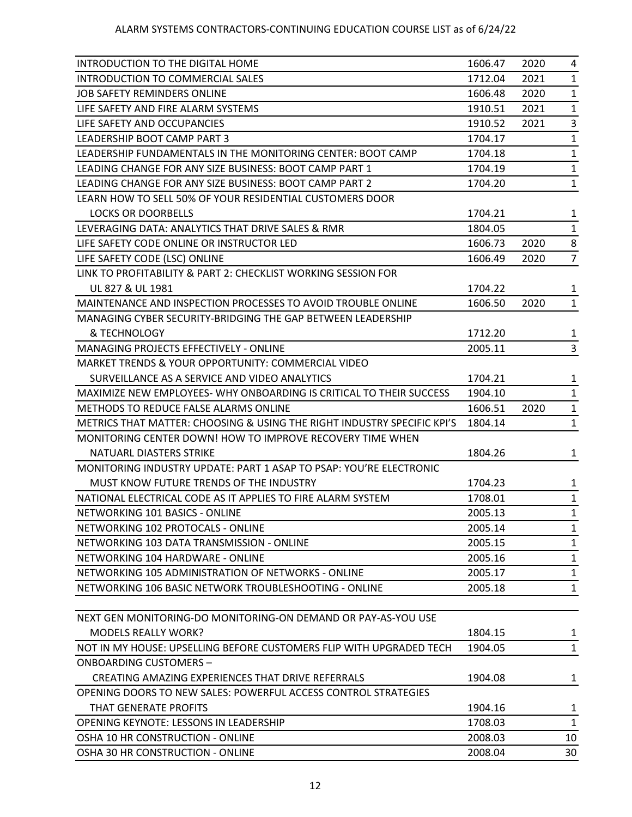| INTRODUCTION TO THE DIGITAL HOME                                        | 1606.47 | 2020 | 4              |
|-------------------------------------------------------------------------|---------|------|----------------|
| INTRODUCTION TO COMMERCIAL SALES                                        | 1712.04 | 2021 | $\mathbf{1}$   |
| JOB SAFETY REMINDERS ONLINE                                             | 1606.48 | 2020 | $\mathbf{1}$   |
| LIFE SAFETY AND FIRE ALARM SYSTEMS                                      | 1910.51 | 2021 | $\mathbf{1}$   |
| LIFE SAFETY AND OCCUPANCIES                                             | 1910.52 | 2021 | 3              |
| LEADERSHIP BOOT CAMP PART 3                                             | 1704.17 |      | $\mathbf{1}$   |
| LEADERSHIP FUNDAMENTALS IN THE MONITORING CENTER: BOOT CAMP             | 1704.18 |      | 1              |
| LEADING CHANGE FOR ANY SIZE BUSINESS: BOOT CAMP PART 1                  | 1704.19 |      | $\mathbf{1}$   |
| LEADING CHANGE FOR ANY SIZE BUSINESS: BOOT CAMP PART 2                  | 1704.20 |      | $\mathbf{1}$   |
| LEARN HOW TO SELL 50% OF YOUR RESIDENTIAL CUSTOMERS DOOR                |         |      |                |
| <b>LOCKS OR DOORBELLS</b>                                               | 1704.21 |      | 1              |
| LEVERAGING DATA: ANALYTICS THAT DRIVE SALES & RMR                       | 1804.05 |      | $\mathbf{1}$   |
| LIFE SAFETY CODE ONLINE OR INSTRUCTOR LED                               | 1606.73 | 2020 | 8              |
| LIFE SAFETY CODE (LSC) ONLINE                                           | 1606.49 | 2020 | $\overline{7}$ |
| LINK TO PROFITABILITY & PART 2: CHECKLIST WORKING SESSION FOR           |         |      |                |
| UL 827 & UL 1981                                                        | 1704.22 |      | 1              |
| MAINTENANCE AND INSPECTION PROCESSES TO AVOID TROUBLE ONLINE            | 1606.50 | 2020 | 1              |
| MANAGING CYBER SECURITY-BRIDGING THE GAP BETWEEN LEADERSHIP             |         |      |                |
| & TECHNOLOGY                                                            | 1712.20 |      | 1              |
| MANAGING PROJECTS EFFECTIVELY - ONLINE                                  | 2005.11 |      | 3              |
| MARKET TRENDS & YOUR OPPORTUNITY: COMMERCIAL VIDEO                      |         |      |                |
| SURVEILLANCE AS A SERVICE AND VIDEO ANALYTICS                           | 1704.21 |      | 1              |
| MAXIMIZE NEW EMPLOYEES- WHY ONBOARDING IS CRITICAL TO THEIR SUCCESS     | 1904.10 |      | 1              |
| <b>METHODS TO REDUCE FALSE ALARMS ONLINE</b>                            | 1606.51 | 2020 | $\mathbf{1}$   |
| METRICS THAT MATTER: CHOOSING & USING THE RIGHT INDUSTRY SPECIFIC KPI'S | 1804.14 |      | 1              |
| MONITORING CENTER DOWN! HOW TO IMPROVE RECOVERY TIME WHEN               |         |      |                |
| NATUARL DIASTERS STRIKE                                                 | 1804.26 |      | 1              |
| MONITORING INDUSTRY UPDATE: PART 1 ASAP TO PSAP: YOU'RE ELECTRONIC      |         |      |                |
| MUST KNOW FUTURE TRENDS OF THE INDUSTRY                                 | 1704.23 |      | 1              |
| NATIONAL ELECTRICAL CODE AS IT APPLIES TO FIRE ALARM SYSTEM             | 1708.01 |      | $\mathbf{1}$   |
| NETWORKING 101 BASICS - ONLINE                                          | 2005.13 |      | $\mathbf{1}$   |
| NETWORKING 102 PROTOCALS - ONLINE                                       | 2005.14 |      | 1              |
| NETWORKING 103 DATA TRANSMISSION - ONLINE                               | 2005.15 |      | 1              |
| NETWORKING 104 HARDWARE - ONLINE                                        | 2005.16 |      | $\mathbf{1}$   |
| NETWORKING 105 ADMINISTRATION OF NETWORKS - ONLINE                      | 2005.17 |      | 1              |
| NETWORKING 106 BASIC NETWORK TROUBLESHOOTING - ONLINE                   | 2005.18 |      | 1              |
|                                                                         |         |      |                |
| NEXT GEN MONITORING-DO MONITORING-ON DEMAND OR PAY-AS-YOU USE           |         |      |                |
| <b>MODELS REALLY WORK?</b>                                              | 1804.15 |      | 1              |
| NOT IN MY HOUSE: UPSELLING BEFORE CUSTOMERS FLIP WITH UPGRADED TECH     | 1904.05 |      | $\mathbf{1}$   |
| <b>ONBOARDING CUSTOMERS-</b>                                            |         |      |                |
| CREATING AMAZING EXPERIENCES THAT DRIVE REFERRALS                       | 1904.08 |      | 1              |
| OPENING DOORS TO NEW SALES: POWERFUL ACCESS CONTROL STRATEGIES          |         |      |                |
| THAT GENERATE PROFITS                                                   | 1904.16 |      | 1              |
| OPENING KEYNOTE: LESSONS IN LEADERSHIP                                  | 1708.03 |      | $\mathbf{1}$   |
| OSHA 10 HR CONSTRUCTION - ONLINE                                        | 2008.03 |      | 10             |
| OSHA 30 HR CONSTRUCTION - ONLINE                                        | 2008.04 |      | 30             |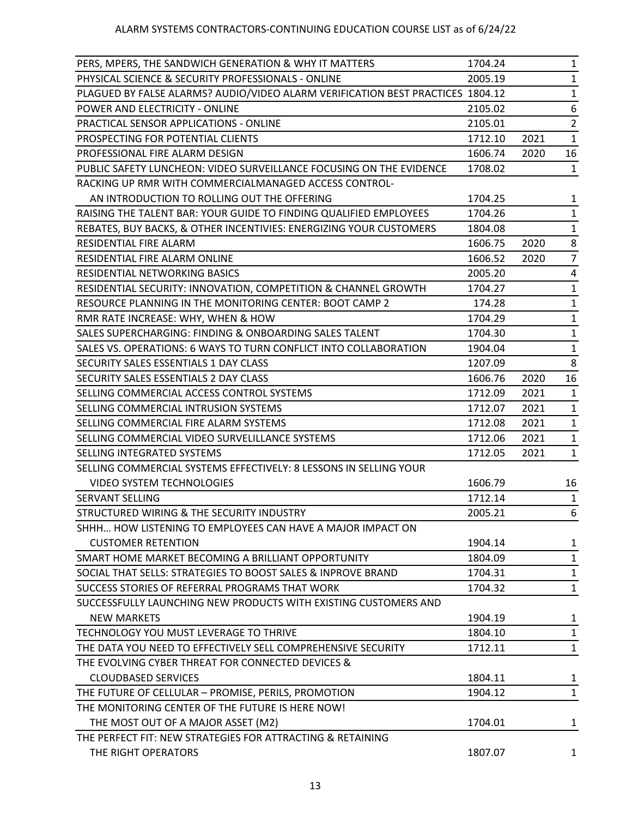| PERS, MPERS, THE SANDWICH GENERATION & WHY IT MATTERS                          | 1704.24 |      | $\mathbf{1}$   |
|--------------------------------------------------------------------------------|---------|------|----------------|
| PHYSICAL SCIENCE & SECURITY PROFESSIONALS - ONLINE                             | 2005.19 |      | $\mathbf{1}$   |
| PLAGUED BY FALSE ALARMS? AUDIO/VIDEO ALARM VERIFICATION BEST PRACTICES 1804.12 |         |      | $\mathbf{1}$   |
| POWER AND ELECTRICITY - ONLINE                                                 | 2105.02 |      | 6              |
| PRACTICAL SENSOR APPLICATIONS - ONLINE                                         | 2105.01 |      | $\overline{2}$ |
| PROSPECTING FOR POTENTIAL CLIENTS                                              | 1712.10 | 2021 | $\mathbf{1}$   |
| PROFESSIONAL FIRE ALARM DESIGN                                                 | 1606.74 | 2020 | 16             |
| PUBLIC SAFETY LUNCHEON: VIDEO SURVEILLANCE FOCUSING ON THE EVIDENCE            | 1708.02 |      | $\mathbf{1}$   |
| RACKING UP RMR WITH COMMERCIALMANAGED ACCESS CONTROL-                          |         |      |                |
| AN INTRODUCTION TO ROLLING OUT THE OFFERING                                    | 1704.25 |      | 1              |
| RAISING THE TALENT BAR: YOUR GUIDE TO FINDING QUALIFIED EMPLOYEES              | 1704.26 |      | $\mathbf{1}$   |
| REBATES, BUY BACKS, & OTHER INCENTIVIES: ENERGIZING YOUR CUSTOMERS             | 1804.08 |      | $\mathbf{1}$   |
| RESIDENTIAL FIRE ALARM                                                         | 1606.75 | 2020 | 8              |
| RESIDENTIAL FIRE ALARM ONLINE                                                  | 1606.52 | 2020 | $\overline{7}$ |
| RESIDENTIAL NETWORKING BASICS                                                  | 2005.20 |      | 4              |
| RESIDENTIAL SECURITY: INNOVATION, COMPETITION & CHANNEL GROWTH                 | 1704.27 |      | $\mathbf{1}$   |
| RESOURCE PLANNING IN THE MONITORING CENTER: BOOT CAMP 2                        | 174.28  |      | $\mathbf{1}$   |
| RMR RATE INCREASE: WHY, WHEN & HOW                                             | 1704.29 |      | $\mathbf{1}$   |
| SALES SUPERCHARGING: FINDING & ONBOARDING SALES TALENT                         | 1704.30 |      | $\mathbf{1}$   |
| SALES VS. OPERATIONS: 6 WAYS TO TURN CONFLICT INTO COLLABORATION               | 1904.04 |      | $\mathbf{1}$   |
| SECURITY SALES ESSENTIALS 1 DAY CLASS                                          | 1207.09 |      | 8              |
| SECURITY SALES ESSENTIALS 2 DAY CLASS                                          | 1606.76 | 2020 | 16             |
| SELLING COMMERCIAL ACCESS CONTROL SYSTEMS                                      | 1712.09 | 2021 | $\mathbf{1}$   |
| SELLING COMMERCIAL INTRUSION SYSTEMS                                           | 1712.07 | 2021 | $\mathbf{1}$   |
| SELLING COMMERCIAL FIRE ALARM SYSTEMS                                          | 1712.08 | 2021 | $\mathbf{1}$   |
| SELLING COMMERCIAL VIDEO SURVELILLANCE SYSTEMS                                 | 1712.06 | 2021 | $\mathbf{1}$   |
| SELLING INTEGRATED SYSTEMS                                                     | 1712.05 | 2021 | $\mathbf{1}$   |
| SELLING COMMERCIAL SYSTEMS EFFECTIVELY: 8 LESSONS IN SELLING YOUR              |         |      |                |
| <b>VIDEO SYSTEM TECHNOLOGIES</b>                                               | 1606.79 |      | 16             |
| SERVANT SELLING                                                                | 1712.14 |      | $\mathbf{1}$   |
| STRUCTURED WIRING & THE SECURITY INDUSTRY                                      | 2005.21 |      | 6              |
| SHHH HOW LISTENING TO EMPLOYEES CAN HAVE A MAJOR IMPACT ON                     |         |      |                |
| <b>CUSTOMER RETENTION</b>                                                      | 1904.14 |      | $\mathbf{1}$   |
| SMART HOME MARKET BECOMING A BRILLIANT OPPORTUNITY                             | 1804.09 |      | $\mathbf{1}$   |
| SOCIAL THAT SELLS: STRATEGIES TO BOOST SALES & INPROVE BRAND                   | 1704.31 |      | $\mathbf{1}$   |
| SUCCESS STORIES OF REFERRAL PROGRAMS THAT WORK                                 | 1704.32 |      | $\mathbf{1}$   |
| SUCCESSFULLY LAUNCHING NEW PRODUCTS WITH EXISTING CUSTOMERS AND                |         |      |                |
| <b>NEW MARKETS</b>                                                             | 1904.19 |      | $\mathbf{1}$   |
| TECHNOLOGY YOU MUST LEVERAGE TO THRIVE                                         | 1804.10 |      | 1              |
| THE DATA YOU NEED TO EFFECTIVELY SELL COMPREHENSIVE SECURITY                   | 1712.11 |      | $\mathbf{1}$   |
| THE EVOLVING CYBER THREAT FOR CONNECTED DEVICES &                              |         |      |                |
| <b>CLOUDBASED SERVICES</b>                                                     | 1804.11 |      | $\mathbf{1}$   |
| THE FUTURE OF CELLULAR - PROMISE, PERILS, PROMOTION                            | 1904.12 |      | $\mathbf{1}$   |
| THE MONITORING CENTER OF THE FUTURE IS HERE NOW!                               |         |      |                |
| THE MOST OUT OF A MAJOR ASSET (M2)                                             | 1704.01 |      | $\mathbf{1}$   |
| THE PERFECT FIT: NEW STRATEGIES FOR ATTRACTING & RETAINING                     |         |      |                |
| THE RIGHT OPERATORS                                                            | 1807.07 |      | $\mathbf{1}$   |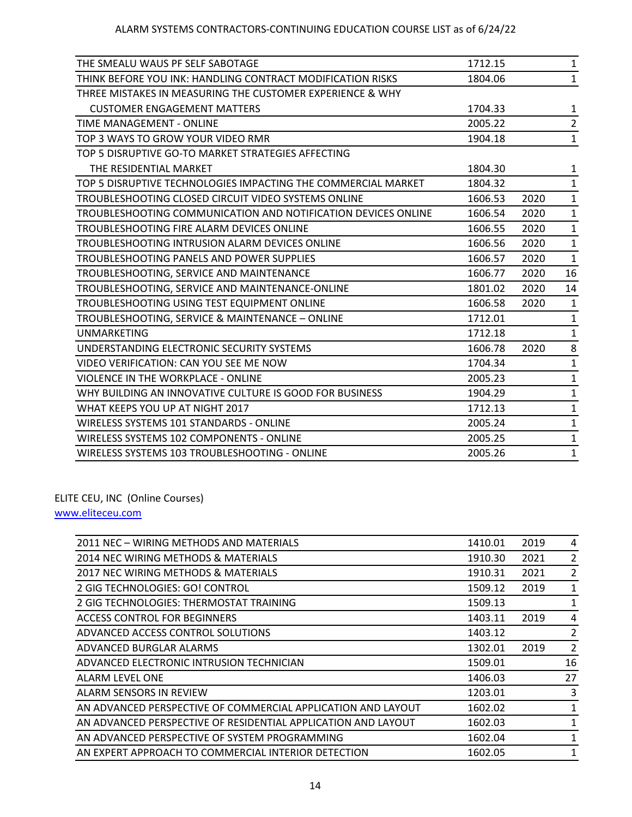| THE SMEALU WAUS PF SELF SABOTAGE                              | 1712.15 |      | 1              |
|---------------------------------------------------------------|---------|------|----------------|
| THINK BEFORE YOU INK: HANDLING CONTRACT MODIFICATION RISKS    | 1804.06 |      | $\mathbf{1}$   |
| THREE MISTAKES IN MEASURING THE CUSTOMER EXPERIENCE & WHY     |         |      |                |
| <b>CUSTOMER ENGAGEMENT MATTERS</b>                            | 1704.33 |      | 1              |
| TIME MANAGEMENT - ONLINE                                      | 2005.22 |      | $\overline{2}$ |
| TOP 3 WAYS TO GROW YOUR VIDEO RMR                             | 1904.18 |      | $\mathbf{1}$   |
| TOP 5 DISRUPTIVE GO-TO MARKET STRATEGIES AFFECTING            |         |      |                |
| THE RESIDENTIAL MARKET                                        | 1804.30 |      | 1              |
| TOP 5 DISRUPTIVE TECHNOLOGIES IMPACTING THE COMMERCIAL MARKET | 1804.32 |      | $\mathbf{1}$   |
| TROUBLESHOOTING CLOSED CIRCUIT VIDEO SYSTEMS ONLINE           | 1606.53 | 2020 | $\mathbf{1}$   |
| TROUBLESHOOTING COMMUNICATION AND NOTIFICATION DEVICES ONLINE | 1606.54 | 2020 | $\mathbf{1}$   |
| TROUBLESHOOTING FIRE ALARM DEVICES ONLINE                     | 1606.55 | 2020 | $\mathbf{1}$   |
| TROUBLESHOOTING INTRUSION ALARM DEVICES ONLINE                | 1606.56 | 2020 | $\mathbf{1}$   |
| TROUBLESHOOTING PANELS AND POWER SUPPLIES                     | 1606.57 | 2020 | $\mathbf{1}$   |
| TROUBLESHOOTING, SERVICE AND MAINTENANCE                      | 1606.77 | 2020 | 16             |
| TROUBLESHOOTING, SERVICE AND MAINTENANCE-ONLINE               | 1801.02 | 2020 | 14             |
| TROUBLESHOOTING USING TEST EQUIPMENT ONLINE                   | 1606.58 | 2020 | $\mathbf{1}$   |
| TROUBLESHOOTING, SERVICE & MAINTENANCE - ONLINE               | 1712.01 |      | $\mathbf{1}$   |
| <b>UNMARKETING</b>                                            | 1712.18 |      | $\mathbf{1}$   |
| UNDERSTANDING ELECTRONIC SECURITY SYSTEMS                     | 1606.78 | 2020 | 8              |
| VIDEO VERIFICATION: CAN YOU SEE ME NOW                        | 1704.34 |      | $\mathbf{1}$   |
| VIOLENCE IN THE WORKPLACE - ONLINE                            | 2005.23 |      | $\mathbf{1}$   |
| WHY BUILDING AN INNOVATIVE CULTURE IS GOOD FOR BUSINESS       | 1904.29 |      | $\mathbf{1}$   |
| WHAT KEEPS YOU UP AT NIGHT 2017                               | 1712.13 |      | $\mathbf{1}$   |
| WIRELESS SYSTEMS 101 STANDARDS - ONLINE                       | 2005.24 |      | $\mathbf{1}$   |
| WIRELESS SYSTEMS 102 COMPONENTS - ONLINE                      | 2005.25 |      | 1              |
| WIRELESS SYSTEMS 103 TROUBLESHOOTING - ONLINE                 | 2005.26 |      | 1              |

ELITE CEU, INC (Online Courses)

[www.eliteceu.com](http://www.eliteceu.com/)

| 2011 NEC - WIRING METHODS AND MATERIALS                       | 1410.01 | 2019 | 4              |
|---------------------------------------------------------------|---------|------|----------------|
| 2014 NEC WIRING METHODS & MATERIALS                           | 1910.30 | 2021 | $\overline{2}$ |
| 2017 NEC WIRING METHODS & MATERIALS                           | 1910.31 | 2021 | $\overline{2}$ |
| 2 GIG TECHNOLOGIES: GO! CONTROL                               | 1509.12 | 2019 | 1              |
| 2 GIG TECHNOLOGIES: THERMOSTAT TRAINING                       | 1509.13 |      | 1              |
| <b>ACCESS CONTROL FOR BEGINNERS</b>                           | 1403.11 | 2019 | 4              |
| ADVANCED ACCESS CONTROL SOLUTIONS                             | 1403.12 |      | $\overline{2}$ |
| ADVANCED BURGLAR ALARMS                                       | 1302.01 | 2019 | $\overline{2}$ |
| ADVANCED ELECTRONIC INTRUSION TECHNICIAN                      | 1509.01 |      | 16             |
| <b>ALARM LEVEL ONE</b>                                        | 1406.03 |      | 27             |
| ALARM SENSORS IN REVIEW                                       | 1203.01 |      | 3              |
| AN ADVANCED PERSPECTIVE OF COMMERCIAL APPLICATION AND LAYOUT  | 1602.02 |      | 1              |
| AN ADVANCED PERSPECTIVE OF RESIDENTIAL APPLICATION AND LAYOUT | 1602.03 |      | 1              |
| AN ADVANCED PERSPECTIVE OF SYSTEM PROGRAMMING                 | 1602.04 |      | 1              |
| AN EXPERT APPROACH TO COMMERCIAL INTERIOR DETECTION           | 1602.05 |      | 1              |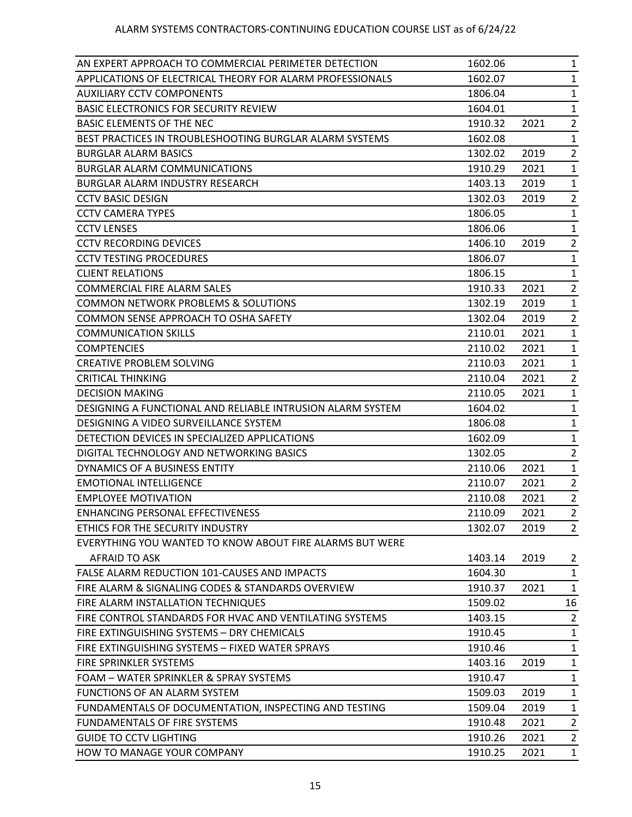| AN EXPERT APPROACH TO COMMERCIAL PERIMETER DETECTION       | 1602.06 |      | $\mathbf{1}$   |
|------------------------------------------------------------|---------|------|----------------|
| APPLICATIONS OF ELECTRICAL THEORY FOR ALARM PROFESSIONALS  | 1602.07 |      | $\mathbf{1}$   |
| <b>AUXILIARY CCTV COMPONENTS</b>                           | 1806.04 |      | $\mathbf{1}$   |
| <b>BASIC ELECTRONICS FOR SECURITY REVIEW</b>               | 1604.01 |      | $\mathbf{1}$   |
| BASIC ELEMENTS OF THE NEC                                  | 1910.32 | 2021 | $\overline{2}$ |
| BEST PRACTICES IN TROUBLESHOOTING BURGLAR ALARM SYSTEMS    | 1602.08 |      | 1              |
| <b>BURGLAR ALARM BASICS</b>                                | 1302.02 | 2019 | $\overline{2}$ |
| <b>BURGLAR ALARM COMMUNICATIONS</b>                        | 1910.29 | 2021 | $\mathbf{1}$   |
| <b>BURGLAR ALARM INDUSTRY RESEARCH</b>                     | 1403.13 | 2019 | $\mathbf{1}$   |
| <b>CCTV BASIC DESIGN</b>                                   | 1302.03 | 2019 | $\overline{2}$ |
| <b>CCTV CAMERA TYPES</b>                                   | 1806.05 |      | $\mathbf{1}$   |
| <b>CCTV LENSES</b>                                         | 1806.06 |      | $\mathbf{1}$   |
| <b>CCTV RECORDING DEVICES</b>                              | 1406.10 | 2019 | $\overline{2}$ |
| <b>CCTV TESTING PROCEDURES</b>                             | 1806.07 |      | $\mathbf{1}$   |
| <b>CLIENT RELATIONS</b>                                    | 1806.15 |      | $\mathbf{1}$   |
| <b>COMMERCIAL FIRE ALARM SALES</b>                         | 1910.33 | 2021 | $\overline{2}$ |
| <b>COMMON NETWORK PROBLEMS &amp; SOLUTIONS</b>             | 1302.19 | 2019 | $\mathbf{1}$   |
| COMMON SENSE APPROACH TO OSHA SAFETY                       | 1302.04 | 2019 | $\overline{2}$ |
| <b>COMMUNICATION SKILLS</b>                                | 2110.01 | 2021 | $\mathbf{1}$   |
| <b>COMPTENCIES</b>                                         | 2110.02 | 2021 | $\mathbf{1}$   |
| <b>CREATIVE PROBLEM SOLVING</b>                            | 2110.03 | 2021 | $\mathbf{1}$   |
| <b>CRITICAL THINKING</b>                                   | 2110.04 | 2021 | $\overline{2}$ |
| <b>DECISION MAKING</b>                                     | 2110.05 | 2021 | $\mathbf{1}$   |
| DESIGNING A FUNCTIONAL AND RELIABLE INTRUSION ALARM SYSTEM | 1604.02 |      | $\mathbf{1}$   |
| DESIGNING A VIDEO SURVEILLANCE SYSTEM                      | 1806.08 |      | 1              |
| DETECTION DEVICES IN SPECIALIZED APPLICATIONS              | 1602.09 |      | $\mathbf{1}$   |
| DIGITAL TECHNOLOGY AND NETWORKING BASICS                   | 1302.05 |      | $\overline{2}$ |
| DYNAMICS OF A BUSINESS ENTITY                              | 2110.06 | 2021 | $\mathbf{1}$   |
| <b>EMOTIONAL INTELLIGENCE</b>                              | 2110.07 | 2021 | $\overline{2}$ |
| <b>EMPLOYEE MOTIVATION</b>                                 | 2110.08 | 2021 | $\overline{2}$ |
| ENHANCING PERSONAL EFFECTIVENESS                           | 2110.09 | 2021 | $\overline{2}$ |
| ETHICS FOR THE SECURITY INDUSTRY                           | 1302.07 | 2019 | 2              |
| EVERYTHING YOU WANTED TO KNOW ABOUT FIRE ALARMS BUT WERE   |         |      |                |
| AFRAID TO ASK                                              | 1403.14 | 2019 | $\overline{2}$ |
| FALSE ALARM REDUCTION 101-CAUSES AND IMPACTS               | 1604.30 |      | $\mathbf{1}$   |
| FIRE ALARM & SIGNALING CODES & STANDARDS OVERVIEW          | 1910.37 | 2021 | $\mathbf{1}$   |
| FIRE ALARM INSTALLATION TECHNIQUES                         | 1509.02 |      | 16             |
| FIRE CONTROL STANDARDS FOR HVAC AND VENTILATING SYSTEMS    | 1403.15 |      | $\overline{2}$ |
| FIRE EXTINGUISHING SYSTEMS - DRY CHEMICALS                 | 1910.45 |      | $\mathbf{1}$   |
| FIRE EXTINGUISHING SYSTEMS - FIXED WATER SPRAYS            | 1910.46 |      | $\mathbf{1}$   |
| FIRE SPRINKLER SYSTEMS                                     | 1403.16 | 2019 | $\mathbf{1}$   |
| FOAM - WATER SPRINKLER & SPRAY SYSTEMS                     | 1910.47 |      | $\mathbf{1}$   |
| <b>FUNCTIONS OF AN ALARM SYSTEM</b>                        | 1509.03 | 2019 | $\mathbf{1}$   |
| FUNDAMENTALS OF DOCUMENTATION, INSPECTING AND TESTING      | 1509.04 | 2019 | $\mathbf{1}$   |
| FUNDAMENTALS OF FIRE SYSTEMS                               | 1910.48 | 2021 | $\overline{2}$ |
| <b>GUIDE TO CCTV LIGHTING</b>                              | 1910.26 | 2021 | $\overline{2}$ |
| HOW TO MANAGE YOUR COMPANY                                 | 1910.25 | 2021 | $\mathbf{1}$   |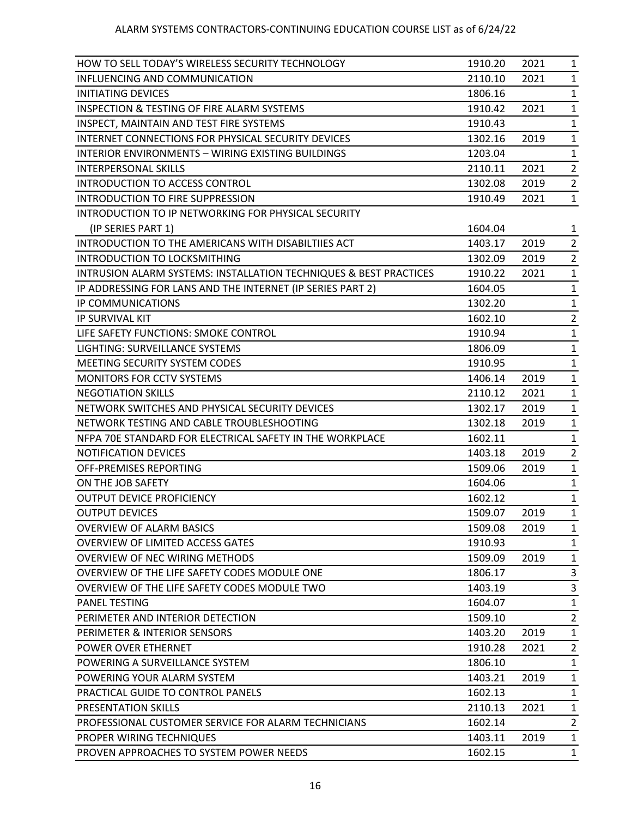| INFLUENCING AND COMMUNICATION<br>2021<br>2110.10<br>$\mathbf{1}$<br>INITIATING DEVICES<br>1806.16<br>$\mathbf{1}$<br><b>INSPECTION &amp; TESTING OF FIRE ALARM SYSTEMS</b><br>2021<br>1910.42<br>$\mathbf{1}$<br>INSPECT, MAINTAIN AND TEST FIRE SYSTEMS<br>1910.43<br>$\mathbf{1}$<br>INTERNET CONNECTIONS FOR PHYSICAL SECURITY DEVICES<br>$\mathbf{1}$<br>1302.16<br>2019<br>INTERIOR ENVIRONMENTS - WIRING EXISTING BUILDINGS<br>1203.04<br>$\mathbf{1}$<br>$\overline{2}$<br>2021<br>INTERPERSONAL SKILLS<br>2110.11<br>INTRODUCTION TO ACCESS CONTROL<br>1302.08<br>2019<br>$\overline{2}$<br>INTRODUCTION TO FIRE SUPPRESSION<br>1910.49<br>2021<br>$\mathbf{1}$<br>INTRODUCTION TO IP NETWORKING FOR PHYSICAL SECURITY<br>1604.04<br>(IP SERIES PART 1)<br>$\mathbf{1}$<br>INTRODUCTION TO THE AMERICANS WITH DISABILTIIES ACT<br>1403.17<br>2019<br>$\overline{2}$<br><b>INTRODUCTION TO LOCKSMITHING</b><br>2019<br>$\overline{2}$<br>1302.09<br><b>INTRUSION ALARM SYSTEMS: INSTALLATION TECHNIQUES &amp; BEST PRACTICES</b><br>1910.22<br>2021<br>$\mathbf{1}$<br>IP ADDRESSING FOR LANS AND THE INTERNET (IP SERIES PART 2)<br>1604.05<br>$\mathbf{1}$<br>1302.20<br>IP COMMUNICATIONS<br>$\mathbf{1}$<br>IP SURVIVAL KIT<br>$\overline{2}$<br>1602.10<br>LIFE SAFETY FUNCTIONS: SMOKE CONTROL<br>1910.94<br>$\mathbf{1}$<br>LIGHTING: SURVEILLANCE SYSTEMS<br>1806.09<br>$\mathbf{1}$<br>MEETING SECURITY SYSTEM CODES<br>1910.95<br>$\mathbf{1}$<br><b>MONITORS FOR CCTV SYSTEMS</b><br>1406.14<br>2019<br>$\mathbf{1}$<br><b>NEGOTIATION SKILLS</b><br>2110.12<br>2021<br>$\mathbf{1}$<br>NETWORK SWITCHES AND PHYSICAL SECURITY DEVICES<br>2019<br>1302.17<br>$\mathbf{1}$<br>NETWORK TESTING AND CABLE TROUBLESHOOTING<br>1302.18<br>2019<br>$\mathbf{1}$<br>NFPA 70E STANDARD FOR ELECTRICAL SAFETY IN THE WORKPLACE<br>1602.11<br>$\mathbf{1}$<br>2019<br>$\overline{2}$<br>NOTIFICATION DEVICES<br>1403.18<br>OFF-PREMISES REPORTING<br>1509.06<br>2019<br>$\mathbf{1}$<br>ON THE JOB SAFETY<br>1604.06<br>1<br>$\mathbf{1}$<br><b>OUTPUT DEVICE PROFICIENCY</b><br>1602.12<br><b>OUTPUT DEVICES</b><br>1509.07<br>2019<br>$\mathbf{1}$<br><b>OVERVIEW OF ALARM BASICS</b><br>1509.08<br>2019<br>$\mathbf{1}$<br><b>OVERVIEW OF LIMITED ACCESS GATES</b><br>1910.93<br>1<br>OVERVIEW OF NEC WIRING METHODS<br>1509.09<br>2019<br>$\mathbf{1}$<br>OVERVIEW OF THE LIFE SAFETY CODES MODULE ONE<br>1806.17<br>3<br>1403.19<br>3<br>OVERVIEW OF THE LIFE SAFETY CODES MODULE TWO<br><b>PANEL TESTING</b><br>$\mathbf{1}$<br>1604.07<br>PERIMETER AND INTERIOR DETECTION<br>1509.10<br>$\overline{2}$<br>PERIMETER & INTERIOR SENSORS<br>1403.20<br>2019<br>$\mathbf{1}$<br>POWER OVER ETHERNET<br>1910.28<br>$\overline{2}$<br>2021<br>POWERING A SURVEILLANCE SYSTEM<br>1806.10<br>$\mathbf{1}$<br>POWERING YOUR ALARM SYSTEM<br>1403.21<br>2019<br>$\mathbf{1}$<br>1602.13<br>PRACTICAL GUIDE TO CONTROL PANELS<br>$\mathbf{1}$<br>PRESENTATION SKILLS<br>2110.13<br>2021<br>$\mathbf{1}$<br>PROFESSIONAL CUSTOMER SERVICE FOR ALARM TECHNICIANS<br>1602.14<br>$\overline{2}$<br>PROPER WIRING TECHNIQUES<br>1403.11<br>2019<br>$\mathbf{1}$<br>PROVEN APPROACHES TO SYSTEM POWER NEEDS<br>1602.15<br>$\mathbf{1}$ | HOW TO SELL TODAY'S WIRELESS SECURITY TECHNOLOGY | 1910.20 | 2021 | $\mathbf{1}$ |
|----------------------------------------------------------------------------------------------------------------------------------------------------------------------------------------------------------------------------------------------------------------------------------------------------------------------------------------------------------------------------------------------------------------------------------------------------------------------------------------------------------------------------------------------------------------------------------------------------------------------------------------------------------------------------------------------------------------------------------------------------------------------------------------------------------------------------------------------------------------------------------------------------------------------------------------------------------------------------------------------------------------------------------------------------------------------------------------------------------------------------------------------------------------------------------------------------------------------------------------------------------------------------------------------------------------------------------------------------------------------------------------------------------------------------------------------------------------------------------------------------------------------------------------------------------------------------------------------------------------------------------------------------------------------------------------------------------------------------------------------------------------------------------------------------------------------------------------------------------------------------------------------------------------------------------------------------------------------------------------------------------------------------------------------------------------------------------------------------------------------------------------------------------------------------------------------------------------------------------------------------------------------------------------------------------------------------------------------------------------------------------------------------------------------------------------------------------------------------------------------------------------------------------------------------------------------------------------------------------------------------------------------------------------------------------------------------------------------------------------------------------------------------------------------------------------------------------------------------------------------------------------------------------------------------------------------------------------------------------------------------------------------------------------------------------------------------------------------------------------------------------------------------------------------------------------------------------------------------------------|--------------------------------------------------|---------|------|--------------|
|                                                                                                                                                                                                                                                                                                                                                                                                                                                                                                                                                                                                                                                                                                                                                                                                                                                                                                                                                                                                                                                                                                                                                                                                                                                                                                                                                                                                                                                                                                                                                                                                                                                                                                                                                                                                                                                                                                                                                                                                                                                                                                                                                                                                                                                                                                                                                                                                                                                                                                                                                                                                                                                                                                                                                                                                                                                                                                                                                                                                                                                                                                                                                                                                                                        |                                                  |         |      |              |
|                                                                                                                                                                                                                                                                                                                                                                                                                                                                                                                                                                                                                                                                                                                                                                                                                                                                                                                                                                                                                                                                                                                                                                                                                                                                                                                                                                                                                                                                                                                                                                                                                                                                                                                                                                                                                                                                                                                                                                                                                                                                                                                                                                                                                                                                                                                                                                                                                                                                                                                                                                                                                                                                                                                                                                                                                                                                                                                                                                                                                                                                                                                                                                                                                                        |                                                  |         |      |              |
|                                                                                                                                                                                                                                                                                                                                                                                                                                                                                                                                                                                                                                                                                                                                                                                                                                                                                                                                                                                                                                                                                                                                                                                                                                                                                                                                                                                                                                                                                                                                                                                                                                                                                                                                                                                                                                                                                                                                                                                                                                                                                                                                                                                                                                                                                                                                                                                                                                                                                                                                                                                                                                                                                                                                                                                                                                                                                                                                                                                                                                                                                                                                                                                                                                        |                                                  |         |      |              |
|                                                                                                                                                                                                                                                                                                                                                                                                                                                                                                                                                                                                                                                                                                                                                                                                                                                                                                                                                                                                                                                                                                                                                                                                                                                                                                                                                                                                                                                                                                                                                                                                                                                                                                                                                                                                                                                                                                                                                                                                                                                                                                                                                                                                                                                                                                                                                                                                                                                                                                                                                                                                                                                                                                                                                                                                                                                                                                                                                                                                                                                                                                                                                                                                                                        |                                                  |         |      |              |
|                                                                                                                                                                                                                                                                                                                                                                                                                                                                                                                                                                                                                                                                                                                                                                                                                                                                                                                                                                                                                                                                                                                                                                                                                                                                                                                                                                                                                                                                                                                                                                                                                                                                                                                                                                                                                                                                                                                                                                                                                                                                                                                                                                                                                                                                                                                                                                                                                                                                                                                                                                                                                                                                                                                                                                                                                                                                                                                                                                                                                                                                                                                                                                                                                                        |                                                  |         |      |              |
|                                                                                                                                                                                                                                                                                                                                                                                                                                                                                                                                                                                                                                                                                                                                                                                                                                                                                                                                                                                                                                                                                                                                                                                                                                                                                                                                                                                                                                                                                                                                                                                                                                                                                                                                                                                                                                                                                                                                                                                                                                                                                                                                                                                                                                                                                                                                                                                                                                                                                                                                                                                                                                                                                                                                                                                                                                                                                                                                                                                                                                                                                                                                                                                                                                        |                                                  |         |      |              |
|                                                                                                                                                                                                                                                                                                                                                                                                                                                                                                                                                                                                                                                                                                                                                                                                                                                                                                                                                                                                                                                                                                                                                                                                                                                                                                                                                                                                                                                                                                                                                                                                                                                                                                                                                                                                                                                                                                                                                                                                                                                                                                                                                                                                                                                                                                                                                                                                                                                                                                                                                                                                                                                                                                                                                                                                                                                                                                                                                                                                                                                                                                                                                                                                                                        |                                                  |         |      |              |
|                                                                                                                                                                                                                                                                                                                                                                                                                                                                                                                                                                                                                                                                                                                                                                                                                                                                                                                                                                                                                                                                                                                                                                                                                                                                                                                                                                                                                                                                                                                                                                                                                                                                                                                                                                                                                                                                                                                                                                                                                                                                                                                                                                                                                                                                                                                                                                                                                                                                                                                                                                                                                                                                                                                                                                                                                                                                                                                                                                                                                                                                                                                                                                                                                                        |                                                  |         |      |              |
|                                                                                                                                                                                                                                                                                                                                                                                                                                                                                                                                                                                                                                                                                                                                                                                                                                                                                                                                                                                                                                                                                                                                                                                                                                                                                                                                                                                                                                                                                                                                                                                                                                                                                                                                                                                                                                                                                                                                                                                                                                                                                                                                                                                                                                                                                                                                                                                                                                                                                                                                                                                                                                                                                                                                                                                                                                                                                                                                                                                                                                                                                                                                                                                                                                        |                                                  |         |      |              |
|                                                                                                                                                                                                                                                                                                                                                                                                                                                                                                                                                                                                                                                                                                                                                                                                                                                                                                                                                                                                                                                                                                                                                                                                                                                                                                                                                                                                                                                                                                                                                                                                                                                                                                                                                                                                                                                                                                                                                                                                                                                                                                                                                                                                                                                                                                                                                                                                                                                                                                                                                                                                                                                                                                                                                                                                                                                                                                                                                                                                                                                                                                                                                                                                                                        |                                                  |         |      |              |
|                                                                                                                                                                                                                                                                                                                                                                                                                                                                                                                                                                                                                                                                                                                                                                                                                                                                                                                                                                                                                                                                                                                                                                                                                                                                                                                                                                                                                                                                                                                                                                                                                                                                                                                                                                                                                                                                                                                                                                                                                                                                                                                                                                                                                                                                                                                                                                                                                                                                                                                                                                                                                                                                                                                                                                                                                                                                                                                                                                                                                                                                                                                                                                                                                                        |                                                  |         |      |              |
|                                                                                                                                                                                                                                                                                                                                                                                                                                                                                                                                                                                                                                                                                                                                                                                                                                                                                                                                                                                                                                                                                                                                                                                                                                                                                                                                                                                                                                                                                                                                                                                                                                                                                                                                                                                                                                                                                                                                                                                                                                                                                                                                                                                                                                                                                                                                                                                                                                                                                                                                                                                                                                                                                                                                                                                                                                                                                                                                                                                                                                                                                                                                                                                                                                        |                                                  |         |      |              |
|                                                                                                                                                                                                                                                                                                                                                                                                                                                                                                                                                                                                                                                                                                                                                                                                                                                                                                                                                                                                                                                                                                                                                                                                                                                                                                                                                                                                                                                                                                                                                                                                                                                                                                                                                                                                                                                                                                                                                                                                                                                                                                                                                                                                                                                                                                                                                                                                                                                                                                                                                                                                                                                                                                                                                                                                                                                                                                                                                                                                                                                                                                                                                                                                                                        |                                                  |         |      |              |
|                                                                                                                                                                                                                                                                                                                                                                                                                                                                                                                                                                                                                                                                                                                                                                                                                                                                                                                                                                                                                                                                                                                                                                                                                                                                                                                                                                                                                                                                                                                                                                                                                                                                                                                                                                                                                                                                                                                                                                                                                                                                                                                                                                                                                                                                                                                                                                                                                                                                                                                                                                                                                                                                                                                                                                                                                                                                                                                                                                                                                                                                                                                                                                                                                                        |                                                  |         |      |              |
|                                                                                                                                                                                                                                                                                                                                                                                                                                                                                                                                                                                                                                                                                                                                                                                                                                                                                                                                                                                                                                                                                                                                                                                                                                                                                                                                                                                                                                                                                                                                                                                                                                                                                                                                                                                                                                                                                                                                                                                                                                                                                                                                                                                                                                                                                                                                                                                                                                                                                                                                                                                                                                                                                                                                                                                                                                                                                                                                                                                                                                                                                                                                                                                                                                        |                                                  |         |      |              |
|                                                                                                                                                                                                                                                                                                                                                                                                                                                                                                                                                                                                                                                                                                                                                                                                                                                                                                                                                                                                                                                                                                                                                                                                                                                                                                                                                                                                                                                                                                                                                                                                                                                                                                                                                                                                                                                                                                                                                                                                                                                                                                                                                                                                                                                                                                                                                                                                                                                                                                                                                                                                                                                                                                                                                                                                                                                                                                                                                                                                                                                                                                                                                                                                                                        |                                                  |         |      |              |
|                                                                                                                                                                                                                                                                                                                                                                                                                                                                                                                                                                                                                                                                                                                                                                                                                                                                                                                                                                                                                                                                                                                                                                                                                                                                                                                                                                                                                                                                                                                                                                                                                                                                                                                                                                                                                                                                                                                                                                                                                                                                                                                                                                                                                                                                                                                                                                                                                                                                                                                                                                                                                                                                                                                                                                                                                                                                                                                                                                                                                                                                                                                                                                                                                                        |                                                  |         |      |              |
|                                                                                                                                                                                                                                                                                                                                                                                                                                                                                                                                                                                                                                                                                                                                                                                                                                                                                                                                                                                                                                                                                                                                                                                                                                                                                                                                                                                                                                                                                                                                                                                                                                                                                                                                                                                                                                                                                                                                                                                                                                                                                                                                                                                                                                                                                                                                                                                                                                                                                                                                                                                                                                                                                                                                                                                                                                                                                                                                                                                                                                                                                                                                                                                                                                        |                                                  |         |      |              |
|                                                                                                                                                                                                                                                                                                                                                                                                                                                                                                                                                                                                                                                                                                                                                                                                                                                                                                                                                                                                                                                                                                                                                                                                                                                                                                                                                                                                                                                                                                                                                                                                                                                                                                                                                                                                                                                                                                                                                                                                                                                                                                                                                                                                                                                                                                                                                                                                                                                                                                                                                                                                                                                                                                                                                                                                                                                                                                                                                                                                                                                                                                                                                                                                                                        |                                                  |         |      |              |
|                                                                                                                                                                                                                                                                                                                                                                                                                                                                                                                                                                                                                                                                                                                                                                                                                                                                                                                                                                                                                                                                                                                                                                                                                                                                                                                                                                                                                                                                                                                                                                                                                                                                                                                                                                                                                                                                                                                                                                                                                                                                                                                                                                                                                                                                                                                                                                                                                                                                                                                                                                                                                                                                                                                                                                                                                                                                                                                                                                                                                                                                                                                                                                                                                                        |                                                  |         |      |              |
|                                                                                                                                                                                                                                                                                                                                                                                                                                                                                                                                                                                                                                                                                                                                                                                                                                                                                                                                                                                                                                                                                                                                                                                                                                                                                                                                                                                                                                                                                                                                                                                                                                                                                                                                                                                                                                                                                                                                                                                                                                                                                                                                                                                                                                                                                                                                                                                                                                                                                                                                                                                                                                                                                                                                                                                                                                                                                                                                                                                                                                                                                                                                                                                                                                        |                                                  |         |      |              |
|                                                                                                                                                                                                                                                                                                                                                                                                                                                                                                                                                                                                                                                                                                                                                                                                                                                                                                                                                                                                                                                                                                                                                                                                                                                                                                                                                                                                                                                                                                                                                                                                                                                                                                                                                                                                                                                                                                                                                                                                                                                                                                                                                                                                                                                                                                                                                                                                                                                                                                                                                                                                                                                                                                                                                                                                                                                                                                                                                                                                                                                                                                                                                                                                                                        |                                                  |         |      |              |
|                                                                                                                                                                                                                                                                                                                                                                                                                                                                                                                                                                                                                                                                                                                                                                                                                                                                                                                                                                                                                                                                                                                                                                                                                                                                                                                                                                                                                                                                                                                                                                                                                                                                                                                                                                                                                                                                                                                                                                                                                                                                                                                                                                                                                                                                                                                                                                                                                                                                                                                                                                                                                                                                                                                                                                                                                                                                                                                                                                                                                                                                                                                                                                                                                                        |                                                  |         |      |              |
|                                                                                                                                                                                                                                                                                                                                                                                                                                                                                                                                                                                                                                                                                                                                                                                                                                                                                                                                                                                                                                                                                                                                                                                                                                                                                                                                                                                                                                                                                                                                                                                                                                                                                                                                                                                                                                                                                                                                                                                                                                                                                                                                                                                                                                                                                                                                                                                                                                                                                                                                                                                                                                                                                                                                                                                                                                                                                                                                                                                                                                                                                                                                                                                                                                        |                                                  |         |      |              |
|                                                                                                                                                                                                                                                                                                                                                                                                                                                                                                                                                                                                                                                                                                                                                                                                                                                                                                                                                                                                                                                                                                                                                                                                                                                                                                                                                                                                                                                                                                                                                                                                                                                                                                                                                                                                                                                                                                                                                                                                                                                                                                                                                                                                                                                                                                                                                                                                                                                                                                                                                                                                                                                                                                                                                                                                                                                                                                                                                                                                                                                                                                                                                                                                                                        |                                                  |         |      |              |
|                                                                                                                                                                                                                                                                                                                                                                                                                                                                                                                                                                                                                                                                                                                                                                                                                                                                                                                                                                                                                                                                                                                                                                                                                                                                                                                                                                                                                                                                                                                                                                                                                                                                                                                                                                                                                                                                                                                                                                                                                                                                                                                                                                                                                                                                                                                                                                                                                                                                                                                                                                                                                                                                                                                                                                                                                                                                                                                                                                                                                                                                                                                                                                                                                                        |                                                  |         |      |              |
|                                                                                                                                                                                                                                                                                                                                                                                                                                                                                                                                                                                                                                                                                                                                                                                                                                                                                                                                                                                                                                                                                                                                                                                                                                                                                                                                                                                                                                                                                                                                                                                                                                                                                                                                                                                                                                                                                                                                                                                                                                                                                                                                                                                                                                                                                                                                                                                                                                                                                                                                                                                                                                                                                                                                                                                                                                                                                                                                                                                                                                                                                                                                                                                                                                        |                                                  |         |      |              |
|                                                                                                                                                                                                                                                                                                                                                                                                                                                                                                                                                                                                                                                                                                                                                                                                                                                                                                                                                                                                                                                                                                                                                                                                                                                                                                                                                                                                                                                                                                                                                                                                                                                                                                                                                                                                                                                                                                                                                                                                                                                                                                                                                                                                                                                                                                                                                                                                                                                                                                                                                                                                                                                                                                                                                                                                                                                                                                                                                                                                                                                                                                                                                                                                                                        |                                                  |         |      |              |
|                                                                                                                                                                                                                                                                                                                                                                                                                                                                                                                                                                                                                                                                                                                                                                                                                                                                                                                                                                                                                                                                                                                                                                                                                                                                                                                                                                                                                                                                                                                                                                                                                                                                                                                                                                                                                                                                                                                                                                                                                                                                                                                                                                                                                                                                                                                                                                                                                                                                                                                                                                                                                                                                                                                                                                                                                                                                                                                                                                                                                                                                                                                                                                                                                                        |                                                  |         |      |              |
|                                                                                                                                                                                                                                                                                                                                                                                                                                                                                                                                                                                                                                                                                                                                                                                                                                                                                                                                                                                                                                                                                                                                                                                                                                                                                                                                                                                                                                                                                                                                                                                                                                                                                                                                                                                                                                                                                                                                                                                                                                                                                                                                                                                                                                                                                                                                                                                                                                                                                                                                                                                                                                                                                                                                                                                                                                                                                                                                                                                                                                                                                                                                                                                                                                        |                                                  |         |      |              |
|                                                                                                                                                                                                                                                                                                                                                                                                                                                                                                                                                                                                                                                                                                                                                                                                                                                                                                                                                                                                                                                                                                                                                                                                                                                                                                                                                                                                                                                                                                                                                                                                                                                                                                                                                                                                                                                                                                                                                                                                                                                                                                                                                                                                                                                                                                                                                                                                                                                                                                                                                                                                                                                                                                                                                                                                                                                                                                                                                                                                                                                                                                                                                                                                                                        |                                                  |         |      |              |
|                                                                                                                                                                                                                                                                                                                                                                                                                                                                                                                                                                                                                                                                                                                                                                                                                                                                                                                                                                                                                                                                                                                                                                                                                                                                                                                                                                                                                                                                                                                                                                                                                                                                                                                                                                                                                                                                                                                                                                                                                                                                                                                                                                                                                                                                                                                                                                                                                                                                                                                                                                                                                                                                                                                                                                                                                                                                                                                                                                                                                                                                                                                                                                                                                                        |                                                  |         |      |              |
|                                                                                                                                                                                                                                                                                                                                                                                                                                                                                                                                                                                                                                                                                                                                                                                                                                                                                                                                                                                                                                                                                                                                                                                                                                                                                                                                                                                                                                                                                                                                                                                                                                                                                                                                                                                                                                                                                                                                                                                                                                                                                                                                                                                                                                                                                                                                                                                                                                                                                                                                                                                                                                                                                                                                                                                                                                                                                                                                                                                                                                                                                                                                                                                                                                        |                                                  |         |      |              |
|                                                                                                                                                                                                                                                                                                                                                                                                                                                                                                                                                                                                                                                                                                                                                                                                                                                                                                                                                                                                                                                                                                                                                                                                                                                                                                                                                                                                                                                                                                                                                                                                                                                                                                                                                                                                                                                                                                                                                                                                                                                                                                                                                                                                                                                                                                                                                                                                                                                                                                                                                                                                                                                                                                                                                                                                                                                                                                                                                                                                                                                                                                                                                                                                                                        |                                                  |         |      |              |
|                                                                                                                                                                                                                                                                                                                                                                                                                                                                                                                                                                                                                                                                                                                                                                                                                                                                                                                                                                                                                                                                                                                                                                                                                                                                                                                                                                                                                                                                                                                                                                                                                                                                                                                                                                                                                                                                                                                                                                                                                                                                                                                                                                                                                                                                                                                                                                                                                                                                                                                                                                                                                                                                                                                                                                                                                                                                                                                                                                                                                                                                                                                                                                                                                                        |                                                  |         |      |              |
|                                                                                                                                                                                                                                                                                                                                                                                                                                                                                                                                                                                                                                                                                                                                                                                                                                                                                                                                                                                                                                                                                                                                                                                                                                                                                                                                                                                                                                                                                                                                                                                                                                                                                                                                                                                                                                                                                                                                                                                                                                                                                                                                                                                                                                                                                                                                                                                                                                                                                                                                                                                                                                                                                                                                                                                                                                                                                                                                                                                                                                                                                                                                                                                                                                        |                                                  |         |      |              |
|                                                                                                                                                                                                                                                                                                                                                                                                                                                                                                                                                                                                                                                                                                                                                                                                                                                                                                                                                                                                                                                                                                                                                                                                                                                                                                                                                                                                                                                                                                                                                                                                                                                                                                                                                                                                                                                                                                                                                                                                                                                                                                                                                                                                                                                                                                                                                                                                                                                                                                                                                                                                                                                                                                                                                                                                                                                                                                                                                                                                                                                                                                                                                                                                                                        |                                                  |         |      |              |
|                                                                                                                                                                                                                                                                                                                                                                                                                                                                                                                                                                                                                                                                                                                                                                                                                                                                                                                                                                                                                                                                                                                                                                                                                                                                                                                                                                                                                                                                                                                                                                                                                                                                                                                                                                                                                                                                                                                                                                                                                                                                                                                                                                                                                                                                                                                                                                                                                                                                                                                                                                                                                                                                                                                                                                                                                                                                                                                                                                                                                                                                                                                                                                                                                                        |                                                  |         |      |              |
|                                                                                                                                                                                                                                                                                                                                                                                                                                                                                                                                                                                                                                                                                                                                                                                                                                                                                                                                                                                                                                                                                                                                                                                                                                                                                                                                                                                                                                                                                                                                                                                                                                                                                                                                                                                                                                                                                                                                                                                                                                                                                                                                                                                                                                                                                                                                                                                                                                                                                                                                                                                                                                                                                                                                                                                                                                                                                                                                                                                                                                                                                                                                                                                                                                        |                                                  |         |      |              |
|                                                                                                                                                                                                                                                                                                                                                                                                                                                                                                                                                                                                                                                                                                                                                                                                                                                                                                                                                                                                                                                                                                                                                                                                                                                                                                                                                                                                                                                                                                                                                                                                                                                                                                                                                                                                                                                                                                                                                                                                                                                                                                                                                                                                                                                                                                                                                                                                                                                                                                                                                                                                                                                                                                                                                                                                                                                                                                                                                                                                                                                                                                                                                                                                                                        |                                                  |         |      |              |
|                                                                                                                                                                                                                                                                                                                                                                                                                                                                                                                                                                                                                                                                                                                                                                                                                                                                                                                                                                                                                                                                                                                                                                                                                                                                                                                                                                                                                                                                                                                                                                                                                                                                                                                                                                                                                                                                                                                                                                                                                                                                                                                                                                                                                                                                                                                                                                                                                                                                                                                                                                                                                                                                                                                                                                                                                                                                                                                                                                                                                                                                                                                                                                                                                                        |                                                  |         |      |              |
|                                                                                                                                                                                                                                                                                                                                                                                                                                                                                                                                                                                                                                                                                                                                                                                                                                                                                                                                                                                                                                                                                                                                                                                                                                                                                                                                                                                                                                                                                                                                                                                                                                                                                                                                                                                                                                                                                                                                                                                                                                                                                                                                                                                                                                                                                                                                                                                                                                                                                                                                                                                                                                                                                                                                                                                                                                                                                                                                                                                                                                                                                                                                                                                                                                        |                                                  |         |      |              |
|                                                                                                                                                                                                                                                                                                                                                                                                                                                                                                                                                                                                                                                                                                                                                                                                                                                                                                                                                                                                                                                                                                                                                                                                                                                                                                                                                                                                                                                                                                                                                                                                                                                                                                                                                                                                                                                                                                                                                                                                                                                                                                                                                                                                                                                                                                                                                                                                                                                                                                                                                                                                                                                                                                                                                                                                                                                                                                                                                                                                                                                                                                                                                                                                                                        |                                                  |         |      |              |
|                                                                                                                                                                                                                                                                                                                                                                                                                                                                                                                                                                                                                                                                                                                                                                                                                                                                                                                                                                                                                                                                                                                                                                                                                                                                                                                                                                                                                                                                                                                                                                                                                                                                                                                                                                                                                                                                                                                                                                                                                                                                                                                                                                                                                                                                                                                                                                                                                                                                                                                                                                                                                                                                                                                                                                                                                                                                                                                                                                                                                                                                                                                                                                                                                                        |                                                  |         |      |              |
|                                                                                                                                                                                                                                                                                                                                                                                                                                                                                                                                                                                                                                                                                                                                                                                                                                                                                                                                                                                                                                                                                                                                                                                                                                                                                                                                                                                                                                                                                                                                                                                                                                                                                                                                                                                                                                                                                                                                                                                                                                                                                                                                                                                                                                                                                                                                                                                                                                                                                                                                                                                                                                                                                                                                                                                                                                                                                                                                                                                                                                                                                                                                                                                                                                        |                                                  |         |      |              |
|                                                                                                                                                                                                                                                                                                                                                                                                                                                                                                                                                                                                                                                                                                                                                                                                                                                                                                                                                                                                                                                                                                                                                                                                                                                                                                                                                                                                                                                                                                                                                                                                                                                                                                                                                                                                                                                                                                                                                                                                                                                                                                                                                                                                                                                                                                                                                                                                                                                                                                                                                                                                                                                                                                                                                                                                                                                                                                                                                                                                                                                                                                                                                                                                                                        |                                                  |         |      |              |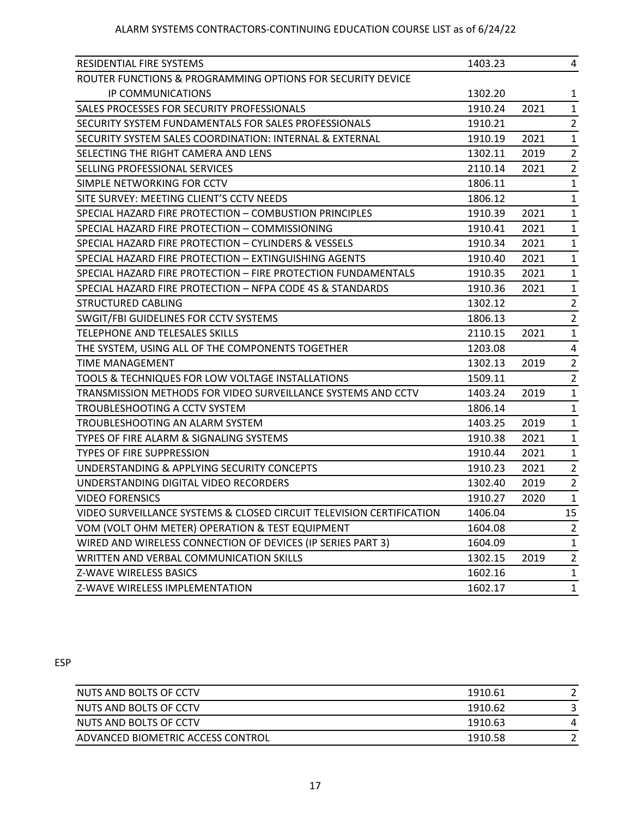| RESIDENTIAL FIRE SYSTEMS                                             | 1403.23 |      | 4              |
|----------------------------------------------------------------------|---------|------|----------------|
| ROUTER FUNCTIONS & PROGRAMMING OPTIONS FOR SECURITY DEVICE           |         |      |                |
| IP COMMUNICATIONS                                                    | 1302.20 |      | 1              |
| SALES PROCESSES FOR SECURITY PROFESSIONALS                           | 1910.24 | 2021 | $\mathbf{1}$   |
| SECURITY SYSTEM FUNDAMENTALS FOR SALES PROFESSIONALS                 | 1910.21 |      | $\overline{2}$ |
| SECURITY SYSTEM SALES COORDINATION: INTERNAL & EXTERNAL              | 1910.19 | 2021 | $\mathbf{1}$   |
| SELECTING THE RIGHT CAMERA AND LENS                                  | 1302.11 | 2019 | $\overline{2}$ |
| SELLING PROFESSIONAL SERVICES                                        | 2110.14 | 2021 | $\overline{2}$ |
| SIMPLE NETWORKING FOR CCTV                                           | 1806.11 |      | $\mathbf{1}$   |
| SITE SURVEY: MEETING CLIENT'S CCTV NEEDS                             | 1806.12 |      | $\mathbf{1}$   |
| SPECIAL HAZARD FIRE PROTECTION - COMBUSTION PRINCIPLES               | 1910.39 | 2021 | $\mathbf{1}$   |
| SPECIAL HAZARD FIRE PROTECTION - COMMISSIONING                       | 1910.41 | 2021 | $\mathbf{1}$   |
| SPECIAL HAZARD FIRE PROTECTION - CYLINDERS & VESSELS                 | 1910.34 | 2021 | $\mathbf{1}$   |
| SPECIAL HAZARD FIRE PROTECTION - EXTINGUISHING AGENTS                | 1910.40 | 2021 | $\mathbf{1}$   |
| SPECIAL HAZARD FIRE PROTECTION - FIRE PROTECTION FUNDAMENTALS        | 1910.35 | 2021 | $\mathbf{1}$   |
| SPECIAL HAZARD FIRE PROTECTION - NFPA CODE 4S & STANDARDS            | 1910.36 | 2021 | $\mathbf{1}$   |
| <b>STRUCTURED CABLING</b>                                            | 1302.12 |      | $\overline{2}$ |
| SWGIT/FBI GUIDELINES FOR CCTV SYSTEMS                                | 1806.13 |      | $\overline{2}$ |
| TELEPHONE AND TELESALES SKILLS                                       | 2110.15 | 2021 | $\mathbf{1}$   |
| THE SYSTEM, USING ALL OF THE COMPONENTS TOGETHER                     | 1203.08 |      | 4              |
| TIME MANAGEMENT                                                      | 1302.13 | 2019 | $\overline{2}$ |
| TOOLS & TECHNIQUES FOR LOW VOLTAGE INSTALLATIONS                     | 1509.11 |      | $\overline{2}$ |
| TRANSMISSION METHODS FOR VIDEO SURVEILLANCE SYSTEMS AND CCTV         | 1403.24 | 2019 | $\mathbf{1}$   |
| TROUBLESHOOTING A CCTV SYSTEM                                        | 1806.14 |      | $\mathbf{1}$   |
| TROUBLESHOOTING AN ALARM SYSTEM                                      | 1403.25 | 2019 | $\mathbf{1}$   |
| TYPES OF FIRE ALARM & SIGNALING SYSTEMS                              | 1910.38 | 2021 | $\mathbf{1}$   |
| TYPES OF FIRE SUPPRESSION                                            | 1910.44 | 2021 | $\mathbf{1}$   |
| UNDERSTANDING & APPLYING SECURITY CONCEPTS                           | 1910.23 | 2021 | $\overline{2}$ |
| UNDERSTANDING DIGITAL VIDEO RECORDERS                                | 1302.40 | 2019 | $\overline{2}$ |
| <b>VIDEO FORENSICS</b>                                               | 1910.27 | 2020 | $\mathbf{1}$   |
| VIDEO SURVEILLANCE SYSTEMS & CLOSED CIRCUIT TELEVISION CERTIFICATION | 1406.04 |      | 15             |
| VOM (VOLT OHM METER) OPERATION & TEST EQUIPMENT                      | 1604.08 |      | 2              |
| WIRED AND WIRELESS CONNECTION OF DEVICES (IP SERIES PART 3)          | 1604.09 |      | $\mathbf{1}$   |
| WRITTEN AND VERBAL COMMUNICATION SKILLS                              | 1302.15 | 2019 | $\overline{2}$ |
| Z-WAVE WIRELESS BASICS                                               | 1602.16 |      | $\mathbf{1}$   |
| Z-WAVE WIRELESS IMPLEMENTATION                                       | 1602.17 |      | $\mathbf{1}$   |

## ESP

| NUTS AND BOLTS OF CCTV            | 1910.61 |  |
|-----------------------------------|---------|--|
| NUTS AND BOLTS OF CCTV            | 1910.62 |  |
| NUTS AND BOLTS OF CCTV            | 1910.63 |  |
| ADVANCED BIOMETRIC ACCESS CONTROL | 1910.58 |  |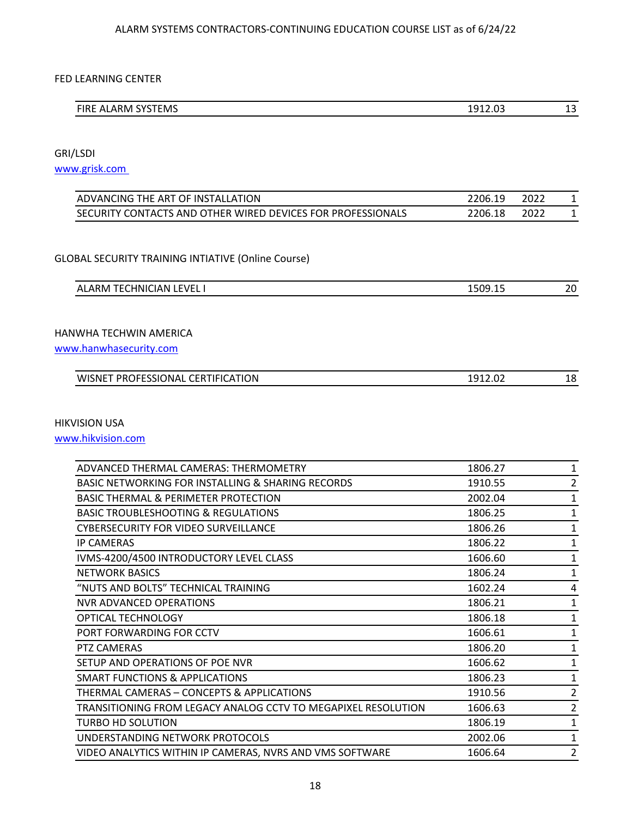#### FED LEARNING CENTER

| $\overline{\phantom{a}}$ ALARM $\overline{\phantom{a}}$<br>፣TEMS<br><b>FIRE</b><br>. cvc- | .012.02<br>----<br>_____ | $\sim$<br>-<br>13.<br>__ |
|-------------------------------------------------------------------------------------------|--------------------------|--------------------------|

GRI/LSDI

[www.grisk.com](http://www.grisk.com/) 

| ADVANCING THE ART OF INSTALLATION                           | 2206.19 | 2022 |  |
|-------------------------------------------------------------|---------|------|--|
| SECURITY CONTACTS AND OTHER WIRED DEVICES FOR PROFESSIONALS | 2206.18 | 2022 |  |

#### GLOBAL SECURITY TRAINING INTIATIVE (Online Course)

## HANWHA TECHWIN AMERICA

[www.hanwhasecurity.com](http://www.hanwhasecurity.com/)

| WISNET PROFESSIONAL CERTIFICATION | 1912 በ2<br>1912.02 | 18 |
|-----------------------------------|--------------------|----|
|-----------------------------------|--------------------|----|

#### HIKVISION USA

[www.hikvision.com](http://www.hikvision.com/)

| ADVANCED THERMAL CAMERAS: THERMOMETRY                         | 1806.27 | 1           |
|---------------------------------------------------------------|---------|-------------|
| <b>BASIC NETWORKING FOR INSTALLING &amp; SHARING RECORDS</b>  | 1910.55 | 2           |
| <b>BASIC THERMAL &amp; PERIMETER PROTECTION</b>               | 2002.04 | 1           |
| <b>BASIC TROUBLESHOOTING &amp; REGULATIONS</b>                | 1806.25 | 1           |
| CYBERSECURITY FOR VIDEO SURVEILLANCE                          | 1806.26 | 1           |
| <b>IP CAMERAS</b>                                             | 1806.22 | 1           |
| IVMS-4200/4500 INTRODUCTORY LEVEL CLASS                       | 1606.60 | 1           |
| <b>NETWORK BASICS</b>                                         | 1806.24 | 1           |
| "NUTS AND BOLTS" TECHNICAL TRAINING                           | 1602.24 | 4           |
| NVR ADVANCED OPERATIONS                                       | 1806.21 | 1           |
| OPTICAL TECHNOLOGY                                            | 1806.18 | 1           |
| PORT FORWARDING FOR CCTV                                      | 1606.61 | $\mathbf 1$ |
| PTZ CAMERAS                                                   | 1806.20 | 1           |
| SETUP AND OPERATIONS OF POE NVR                               | 1606.62 | 1           |
| <b>SMART FUNCTIONS &amp; APPLICATIONS</b>                     | 1806.23 | 1           |
| THERMAL CAMERAS - CONCEPTS & APPLICATIONS                     | 1910.56 | 2           |
| TRANSITIONING FROM LEGACY ANALOG CCTV TO MEGAPIXEL RESOLUTION | 1606.63 | 2           |
| <b>TURBO HD SOLUTION</b>                                      | 1806.19 | 1           |
| UNDERSTANDING NETWORK PROTOCOLS                               | 2002.06 | 1           |
| VIDEO ANALYTICS WITHIN IP CAMERAS, NVRS AND VMS SOFTWARE      | 1606.64 | 2           |
|                                                               |         |             |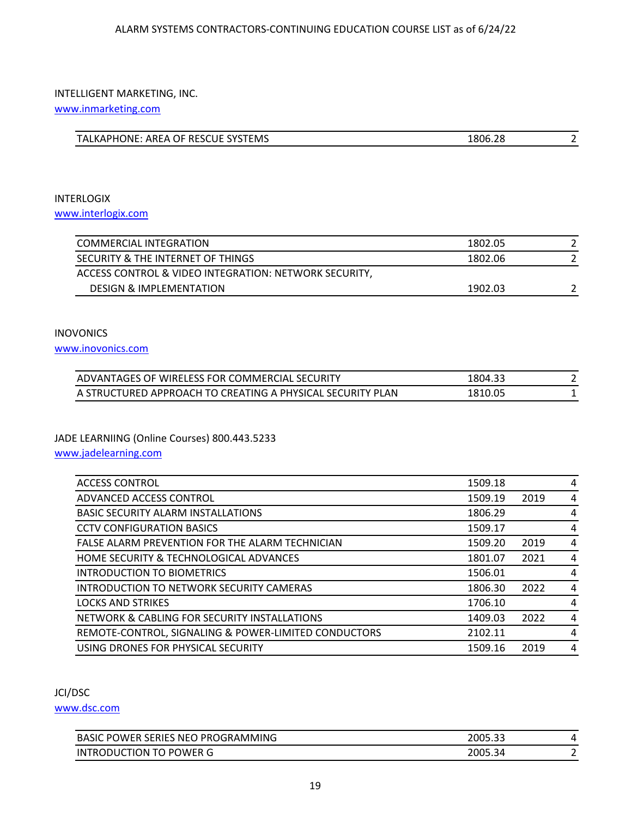#### INTELLIGENT MARKETING, INC.

[www.inmarketing.com](http://www.inmarketing.com/)

## INTERLOGIX [www.interlogix.com](http://www.interlogix.com/)

| COMMERCIAL INTEGRATION                                | 1802.05 |  |
|-------------------------------------------------------|---------|--|
| SECURITY & THE INTERNET OF THINGS                     | 1802.06 |  |
| ACCESS CONTROL & VIDEO INTEGRATION: NETWORK SECURITY, |         |  |
| <b>DESIGN &amp; IMPLEMENTATION</b>                    | 1902.03 |  |

## INOVONICS

[www.inovonics.com](http://www.inovonics.com/)

| ADVANTAGES OF WIRELESS FOR COMMERCIAL SECURITY             | 1804.33 |  |
|------------------------------------------------------------|---------|--|
| A STRUCTURED APPROACH TO CREATING A PHYSICAL SECURITY PLAN | 1810.05 |  |

## JADE LEARNIING (Online Courses) 800.443.5233

[www.jadelearning.com](http://www.jadelearning.com/)

| <b>ACCESS CONTROL</b>                                | 1509.18 |      | 4              |
|------------------------------------------------------|---------|------|----------------|
| ADVANCED ACCESS CONTROL                              | 1509.19 | 2019 | 4              |
| <b>BASIC SECURITY ALARM INSTALLATIONS</b>            | 1806.29 |      | 4              |
| <b>CCTV CONFIGURATION BASICS</b>                     | 1509.17 |      | 4              |
| FALSE ALARM PREVENTION FOR THE ALARM TECHNICIAN      | 1509.20 | 2019 | 4              |
| HOME SECURITY & TECHNOLOGICAL ADVANCES               | 1801.07 | 2021 | 4              |
| <b>INTRODUCTION TO BIOMETRICS</b>                    | 1506.01 |      | $\overline{4}$ |
| <b>INTRODUCTION TO NETWORK SECURITY CAMERAS</b>      | 1806.30 | 2022 | 4              |
| <b>LOCKS AND STRIKES</b>                             | 1706.10 |      | 4              |
| NETWORK & CABLING FOR SECURITY INSTALLATIONS         | 1409.03 | 2022 | 4              |
| REMOTE-CONTROL, SIGNALING & POWER-LIMITED CONDUCTORS | 2102.11 |      | 4              |
| USING DRONES FOR PHYSICAL SECURITY                   | 1509.16 | 2019 | 4              |

## JCI/DSC

[www.dsc.com](http://www.dsc.com/)

| . POWER SERIES<br>i NEO PROGRAMMING<br><b>BASIC</b>     | 2005.33 | $\mathbf{u}$             |
|---------------------------------------------------------|---------|--------------------------|
| TO POWER G<br><b>ION</b><br>IN<br>ጋDUC<br>‴ТI( н.<br>וט | 2005.34 | $\overline{\phantom{0}}$ |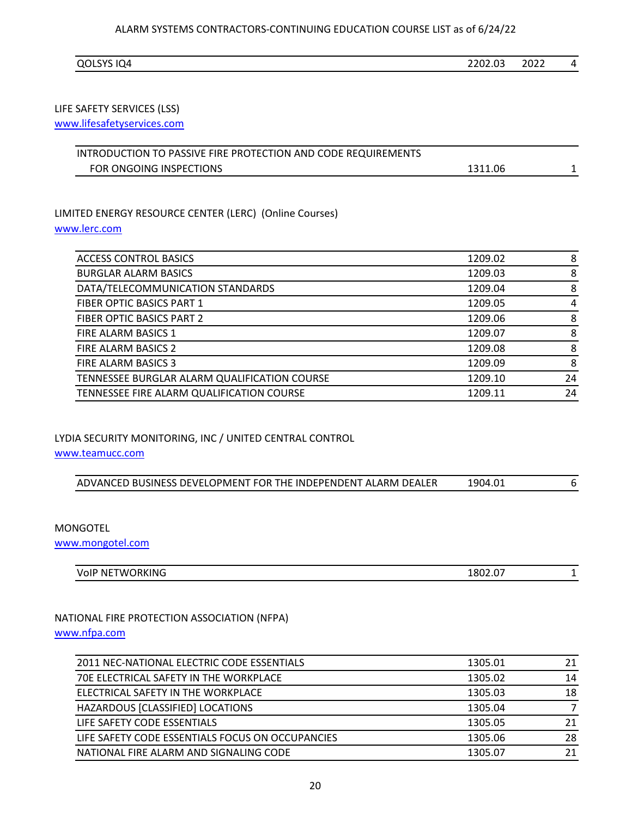| ) (<br>14<br>__<br>--- - | $\sim$<br>າາ∩≏<br>UZ.UJ | ำกาา<br>2022<br>_____ |  |
|--------------------------|-------------------------|-----------------------|--|
|--------------------------|-------------------------|-----------------------|--|

## LIFE SAFETY SERVICES (LSS)

[www.lifesafetyservices.com](http://www.lifesafetyservices.com/)

| INTRODUCTION TO PASSIVE FIRE PROTECTION AND CODE REQUIREMENTS |         |  |
|---------------------------------------------------------------|---------|--|
| FOR ONGOING INSPECTIONS                                       | 1311.06 |  |

## LIMITED ENERGY RESOURCE CENTER (LERC) (Online Courses) [www.lerc.com](http://www.lerc.com/)

| <b>ACCESS CONTROL BASICS</b>                 | 1209.02 | 8  |
|----------------------------------------------|---------|----|
| <b>BURGLAR ALARM BASICS</b>                  | 1209.03 | 8  |
| DATA/TELECOMMUNICATION STANDARDS             | 1209.04 | 8  |
| <b>FIBER OPTIC BASICS PART 1</b>             | 1209.05 | 4  |
| <b>FIBER OPTIC BASICS PART 2</b>             | 1209.06 | 8  |
| FIRE ALARM BASICS 1                          | 1209.07 | 8  |
| FIRE ALARM BASICS 2                          | 1209.08 | 8  |
| FIRE ALARM BASICS 3                          | 1209.09 | 8  |
| TENNESSEE BURGLAR ALARM QUALIFICATION COURSE | 1209.10 | 24 |
| TENNESSEE FIRE ALARM QUALIFICATION COURSE    | 1209.11 | 24 |

### LYDIA SECURITY MONITORING, INC / UNITED CENTRAL CONTROL

[www.teamucc.com](http://www.teamucc.com/)

| ADVANCED BUSINESS DEVELOPMENT FOR THE INDEPENDENT ALARM DEALER | 1904.01 |  |
|----------------------------------------------------------------|---------|--|
|----------------------------------------------------------------|---------|--|

## MONGOTEL

[www.mongotel.com](http://www.mongotel.com/)

| JETWORKING<br>VolP<br>NF<br>____ | 1802.07<br>___ |  |
|----------------------------------|----------------|--|

## NATIONAL FIRE PROTECTION ASSOCIATION (NFPA) [www.nfpa.com](http://www.nfpa.com/)

| 2011 NEC-NATIONAL ELECTRIC CODE ESSENTIALS       | 1305.01 | 21 |
|--------------------------------------------------|---------|----|
| 70E ELECTRICAL SAFETY IN THE WORKPLACE           | 1305.02 | 14 |
| ELECTRICAL SAFETY IN THE WORKPLACE               | 1305.03 | 18 |
| HAZARDOUS [CLASSIFIED] LOCATIONS                 | 1305.04 |    |
| LIFE SAFETY CODE ESSENTIALS                      | 1305.05 | 21 |
| LIFE SAFETY CODE ESSENTIALS FOCUS ON OCCUPANCIES | 1305.06 | 28 |
| NATIONAL FIRE ALARM AND SIGNALING CODE           | 1305.07 | 21 |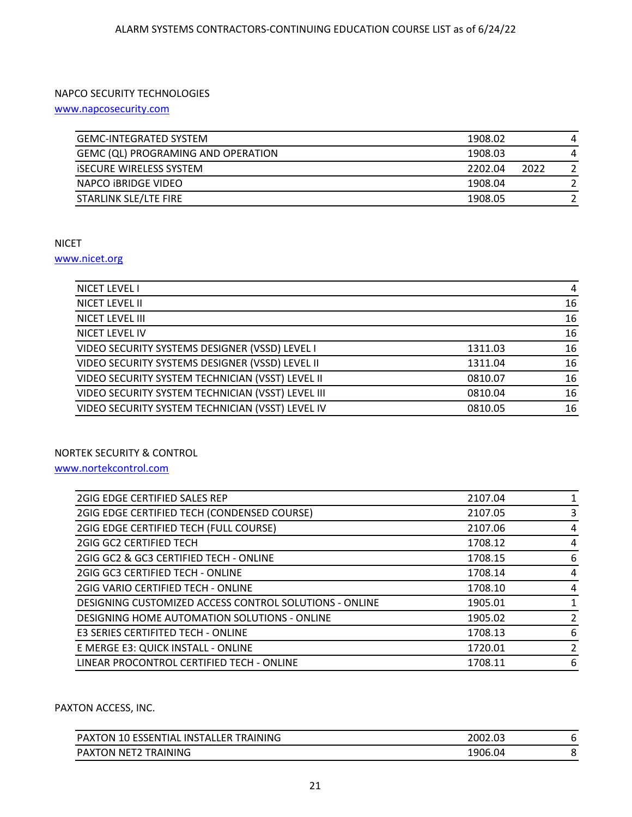## NAPCO SECURITY TECHNOLOGIES

[www.napcosecurity.com](http://www.napcosecurity.com/)

| <b>GEMC-INTEGRATED SYSTEM</b>      | 1908.02 |      |  |
|------------------------------------|---------|------|--|
| GEMC (QL) PROGRAMING AND OPERATION | 1908.03 |      |  |
| <b>ISECURE WIRELESS SYSTEM</b>     | 2202.04 | 2022 |  |
| NAPCO IBRIDGE VIDEO                | 1908.04 |      |  |
| STARLINK SLE/LTE FIRE              | 1908.05 |      |  |
|                                    |         |      |  |

#### NICET

#### [www.nicet.org](http://www.nicet.org/)

| NICET LEVEL I                                     |         | 4  |
|---------------------------------------------------|---------|----|
| NICET LEVEL II                                    |         | 16 |
| NICET LEVEL III                                   |         | 16 |
| NICET LEVEL IV                                    |         | 16 |
| VIDEO SECURITY SYSTEMS DESIGNER (VSSD) LEVEL I    | 1311.03 | 16 |
| VIDEO SECURITY SYSTEMS DESIGNER (VSSD) LEVEL II   | 1311.04 | 16 |
| VIDEO SECURITY SYSTEM TECHNICIAN (VSST) LEVEL II  | 0810.07 | 16 |
| VIDEO SECURITY SYSTEM TECHNICIAN (VSST) LEVEL III | 0810.04 | 16 |
| VIDEO SECURITY SYSTEM TECHNICIAN (VSST) LEVEL IV  | 0810.05 | 16 |

### NORTEK SECURITY & CONTROL

[www.nortekcontrol.com](http://www.nortekcontrol.com/)

| 2GIG EDGE CERTIFIED SALES REP                          | 2107.04 |   |
|--------------------------------------------------------|---------|---|
| 2GIG EDGE CERTIFIED TECH (CONDENSED COURSE)            | 2107.05 | 3 |
| 2GIG EDGE CERTIFIED TECH (FULL COURSE)                 | 2107.06 | 4 |
| <b>2GIG GC2 CERTIFIED TECH</b>                         | 1708.12 | 4 |
| 2GIG GC2 & GC3 CERTIFIED TECH - ONLINE                 | 1708.15 | 6 |
| 2GIG GC3 CERTIFIED TECH - ONLINE                       | 1708.14 | 4 |
| <b>2GIG VARIO CERTIFIED TECH - ONLINE</b>              | 1708.10 | 4 |
| DESIGNING CUSTOMIZED ACCESS CONTROL SOLUTIONS - ONLINE | 1905.01 |   |
| DESIGNING HOME AUTOMATION SOLUTIONS - ONLINE           | 1905.02 | 2 |
| E3 SERIES CERTIFITED TECH - ONLINE                     | 1708.13 | 6 |
| E MERGE E3: QUICK INSTALL - ONLINE                     | 1720.01 | 2 |
| LINEAR PROCONTROL CERTIFIED TECH - ONLINE              | 1708.11 | 6 |
|                                                        |         |   |

#### PAXTON ACCESS, INC.

| INS.<br><b>TRAINING</b><br>(TON 10 ESSENTIAL<br>FR.<br>$PA_{\lambda}$<br>`TAI I | 2002.03 | ь |
|---------------------------------------------------------------------------------|---------|---|
| NET2<br>TRAINING<br>PAX<br>.TON                                                 | 1906.04 |   |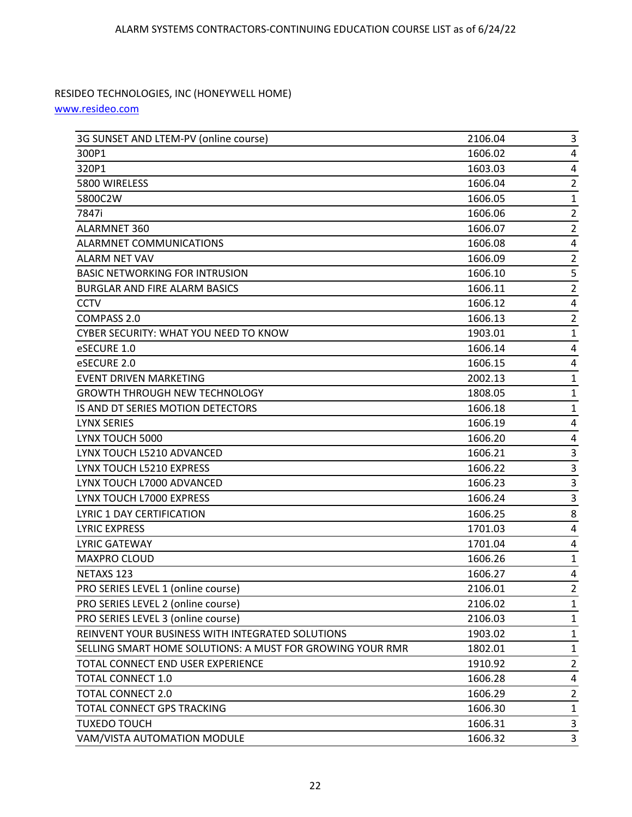## RESIDEO TECHNOLOGIES, INC (HONEYWELL HOME)

[www.resideo.com](http://www.resideo.com/)

| 3G SUNSET AND LTEM-PV (online course)                     | 2106.04 | 3                       |
|-----------------------------------------------------------|---------|-------------------------|
| 300P1                                                     | 1606.02 | 4                       |
| 320P1                                                     | 1603.03 | 4                       |
| 5800 WIRELESS                                             | 1606.04 | $\overline{2}$          |
| 5800C2W                                                   | 1606.05 | 1                       |
| 7847i                                                     | 1606.06 | $\overline{\mathbf{c}}$ |
| ALARMNET 360                                              | 1606.07 | $\overline{2}$          |
| ALARMNET COMMUNICATIONS                                   | 1606.08 | 4                       |
| ALARM NET VAV                                             | 1606.09 | $\overline{2}$          |
| <b>BASIC NETWORKING FOR INTRUSION</b>                     | 1606.10 | 5                       |
| <b>BURGLAR AND FIRE ALARM BASICS</b>                      | 1606.11 | $\overline{\mathbf{c}}$ |
| <b>CCTV</b>                                               | 1606.12 | 4                       |
| COMPASS 2.0                                               | 1606.13 | $\overline{\mathbf{c}}$ |
| CYBER SECURITY: WHAT YOU NEED TO KNOW                     | 1903.01 | $\mathbf{1}$            |
| eSECURE 1.0                                               | 1606.14 | 4                       |
| eSECURE 2.0                                               | 1606.15 | 4                       |
| <b>EVENT DRIVEN MARKETING</b>                             | 2002.13 | 1                       |
| <b>GROWTH THROUGH NEW TECHNOLOGY</b>                      | 1808.05 | 1                       |
| IS AND DT SERIES MOTION DETECTORS                         | 1606.18 | $\mathbf{1}$            |
| <b>LYNX SERIES</b>                                        | 1606.19 | 4                       |
| LYNX TOUCH 5000                                           | 1606.20 | 4                       |
| LYNX TOUCH L5210 ADVANCED                                 | 1606.21 | 3                       |
| LYNX TOUCH L5210 EXPRESS                                  | 1606.22 | 3                       |
| LYNX TOUCH L7000 ADVANCED                                 | 1606.23 | 3                       |
| LYNX TOUCH L7000 EXPRESS                                  | 1606.24 | 3                       |
| LYRIC 1 DAY CERTIFICATION                                 | 1606.25 | 8                       |
| <b>LYRIC EXPRESS</b>                                      | 1701.03 | 4                       |
| <b>LYRIC GATEWAY</b>                                      | 1701.04 | 4                       |
| MAXPRO CLOUD                                              | 1606.26 | $\mathbf{1}$            |
| NETAXS 123                                                | 1606.27 | 4                       |
| PRO SERIES LEVEL 1 (online course)                        | 2106.01 | $\overline{2}$          |
| PRO SERIES LEVEL 2 (online course)                        | 2106.02 | 1                       |
| PRO SERIES LEVEL 3 (online course)                        | 2106.03 | 1                       |
| REINVENT YOUR BUSINESS WITH INTEGRATED SOLUTIONS          | 1903.02 | 1                       |
| SELLING SMART HOME SOLUTIONS: A MUST FOR GROWING YOUR RMR | 1802.01 | 1                       |
| TOTAL CONNECT END USER EXPERIENCE                         | 1910.92 | $\overline{2}$          |
| <b>TOTAL CONNECT 1.0</b>                                  | 1606.28 | 4                       |
| <b>TOTAL CONNECT 2.0</b>                                  | 1606.29 | 2                       |
| TOTAL CONNECT GPS TRACKING                                | 1606.30 | 1                       |
| <b>TUXEDO TOUCH</b>                                       | 1606.31 | 3                       |
| VAM/VISTA AUTOMATION MODULE                               | 1606.32 | 3                       |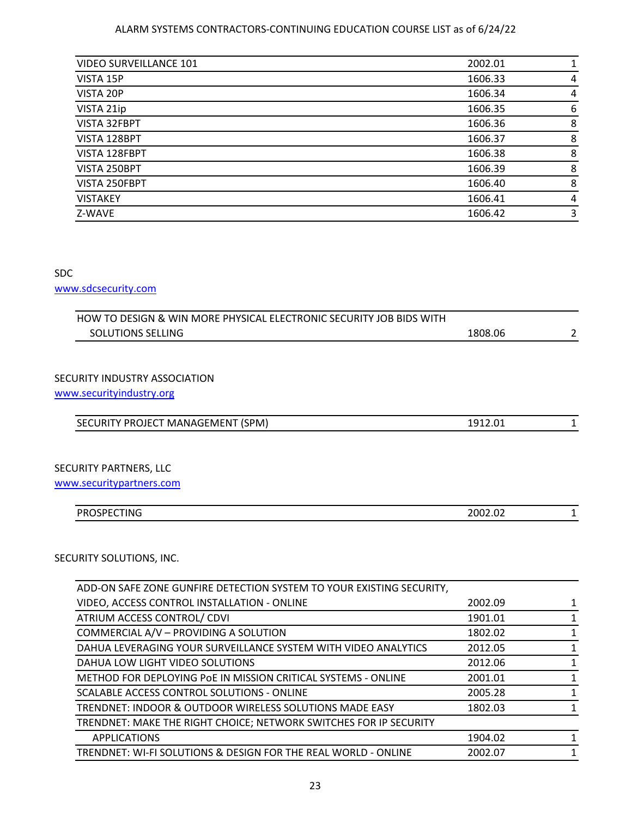| <b>VIDEO SURVEILLANCE 101</b> | 2002.01 |   |
|-------------------------------|---------|---|
| VISTA 15P                     | 1606.33 | 4 |
| VISTA 20P                     | 1606.34 | 4 |
| VISTA 21ip                    | 1606.35 | 6 |
| VISTA 32FBPT                  | 1606.36 | 8 |
| VISTA 128BPT                  | 1606.37 | 8 |
| VISTA 128FBPT                 | 1606.38 | 8 |
| VISTA 250BPT                  | 1606.39 | 8 |
| VISTA 250FBPT                 | 1606.40 | 8 |
| <b>VISTAKEY</b>               | 1606.41 | 4 |
| Z-WAVE                        | 1606.42 | 3 |
|                               |         |   |

## SDC

[www.sdcsecurity.com](http://www.sdcsecurity.com/)

| HOW TO DESIGN & WIN MORE PHYSICAL ELECTRONIC SECURITY JOB BIDS WITH  |         |              |
|----------------------------------------------------------------------|---------|--------------|
| <b>SOLUTIONS SELLING</b>                                             | 1808.06 | 2            |
|                                                                      |         |              |
|                                                                      |         |              |
| SECURITY INDUSTRY ASSOCIATION                                        |         |              |
| www.securityindustry.org                                             |         |              |
|                                                                      |         |              |
| SECURITY PROJECT MANAGEMENT (SPM)                                    | 1912.01 | 1            |
|                                                                      |         |              |
|                                                                      |         |              |
| <b>SECURITY PARTNERS, LLC</b>                                        |         |              |
| www.securitypartners.com                                             |         |              |
| <b>PROSPECTING</b>                                                   | 2002.02 | 1            |
|                                                                      |         |              |
|                                                                      |         |              |
| SECURITY SOLUTIONS, INC.                                             |         |              |
|                                                                      |         |              |
| ADD-ON SAFE ZONE GUNFIRE DETECTION SYSTEM TO YOUR EXISTING SECURITY, |         |              |
| VIDEO, ACCESS CONTROL INSTALLATION - ONLINE                          | 2002.09 | 1            |
| ATRIUM ACCESS CONTROL/ CDVI                                          | 1901.01 | 1            |
| COMMERCIAL A/V - PROVIDING A SOLUTION                                | 1802.02 | 1            |
| DAHUA LEVERAGING YOUR SURVEILLANCE SYSTEM WITH VIDEO ANALYTICS       | 2012.05 | $\mathbf{1}$ |
| DAHUA LOW LIGHT VIDEO SOLUTIONS                                      | 2012.06 | 1            |
| METHOD FOR DEPLOYING POE IN MISSION CRITICAL SYSTEMS - ONLINE        | 2001.01 | 1            |
| SCALABLE ACCESS CONTROL SOLUTIONS - ONLINE                           | 2005.28 | $\mathbf{1}$ |

| TRENDNET: INDOOR & OUTDOOR WIRELESS SOLUTIONS MADE EASY           | 1802.03 |  |
|-------------------------------------------------------------------|---------|--|
| TRENDNET: MAKE THE RIGHT CHOICE; NETWORK SWITCHES FOR IP SECURITY |         |  |
| <b>APPLICATIONS</b>                                               | 1904.02 |  |
| TRENDNET: WI-FI SOLUTIONS & DESIGN FOR THE REAL WORLD - ONLINE    | 2002.07 |  |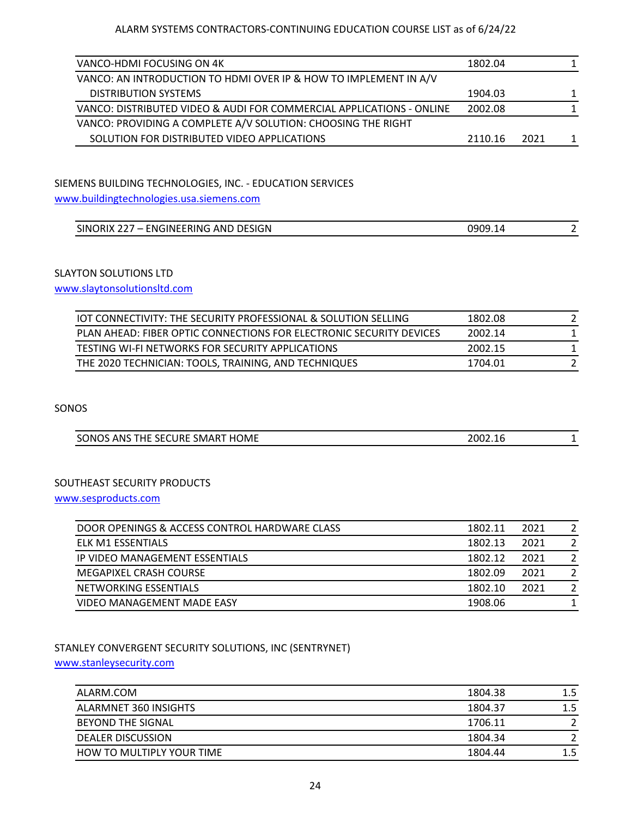| VANCO-HDMI FOCUSING ON 4K                                            | 1802.04 |      |   |
|----------------------------------------------------------------------|---------|------|---|
| VANCO: AN INTRODUCTION TO HDMI OVER IP & HOW TO IMPLEMENT IN A/V     |         |      |   |
| <b>DISTRIBUTION SYSTEMS</b>                                          | 1904.03 |      | 1 |
| VANCO: DISTRIBUTED VIDEO & AUDI FOR COMMERCIAL APPLICATIONS - ONLINE | 2002.08 |      |   |
| VANCO: PROVIDING A COMPLETE A/V SOLUTION: CHOOSING THE RIGHT         |         |      |   |
| SOLUTION FOR DISTRIBUTED VIDEO APPLICATIONS                          | 2110.16 | 2021 | 1 |

## SIEMENS BUILDING TECHNOLOGIES, INC. - EDUCATION SERVICES

[www.buildingtechnologies.usa.siemens.com](http://www.buildingtechnologies.usa.siemens.com/)

| SINORIX 227<br><b>ENGINEERING AND DESIGN</b><br>. <i>.</i> | 0909.1<br>1 D |  |
|------------------------------------------------------------|---------------|--|

## SLAYTON SOLUTIONS LTD

[www.slaytonsolutionsltd.com](http://www.slaytonsolutionsltd.com/)

| <b>IOT CONNECTIVITY: THE SECURITY PROFESSIONAL &amp; SOLUTION SELLING</b> | 1802.08 |  |
|---------------------------------------------------------------------------|---------|--|
| PLAN AHEAD: FIBER OPTIC CONNECTIONS FOR ELECTRONIC SECURITY DEVICES       | 2002.14 |  |
| TESTING WI-FI NETWORKS FOR SECURITY APPLICATIONS                          | 2002.15 |  |
| THE 2020 TECHNICIAN: TOOLS, TRAINING, AND TECHNIQUES                      | 1704.01 |  |

SONOS

| SONOS ANS THE SECURE SMART HOME | 2002.16<br>____ |  |
|---------------------------------|-----------------|--|

### SOUTHEAST SECURITY PRODUCTS

[www.sesproducts.com](http://www.sesproducts.com/)

| DOOR OPENINGS & ACCESS CONTROL HARDWARE CLASS | 1802.11 | 2021 |               |
|-----------------------------------------------|---------|------|---------------|
| ELK M1 ESSENTIALS                             | 1802.13 | 2021 |               |
| IP VIDEO MANAGEMENT ESSENTIALS                | 1802.12 | 2021 |               |
| MEGAPIXEL CRASH COURSE                        | 1802.09 | 2021 |               |
| NETWORKING ESSENTIALS                         | 1802.10 | 2021 | $\mathcal{P}$ |
| VIDEO MANAGEMENT MADE EASY                    | 1908.06 |      |               |

## STANLEY CONVERGENT SECURITY SOLUTIONS, INC (SENTRYNET)

#### [www.stanleysecurity.com](http://www.stanleysecurity.com/)

| ALARM.COM                 | 1804.38 | $1.5\,$ |
|---------------------------|---------|---------|
| ALARMNET 360 INSIGHTS     | 1804.37 | 1.5     |
| BEYOND THE SIGNAL         | 1706.11 |         |
| <b>DEALER DISCUSSION</b>  | 1804.34 |         |
| HOW TO MULTIPLY YOUR TIME | 1804.44 | 1.5     |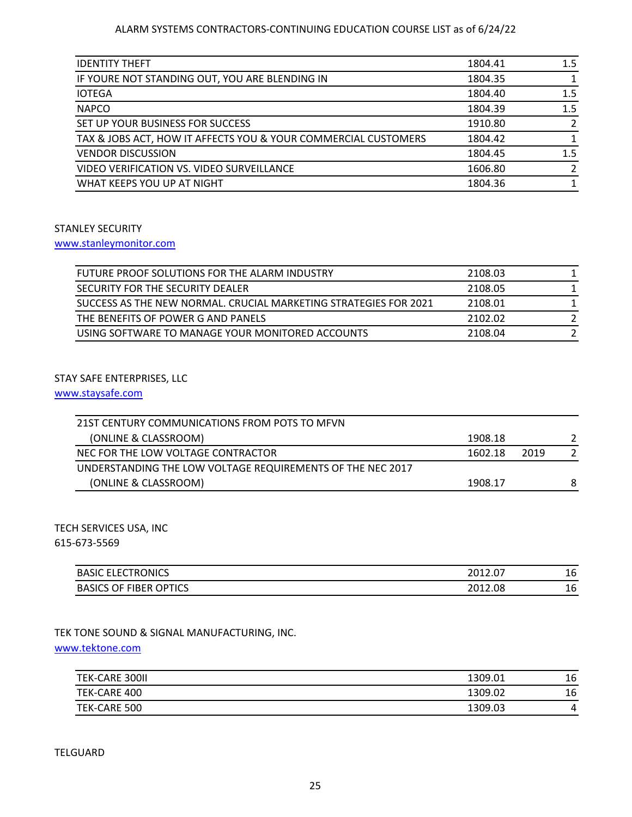| <b>IDENTITY THEFT</b>                                          | 1804.41 | 1.5     |
|----------------------------------------------------------------|---------|---------|
| IF YOURE NOT STANDING OUT, YOU ARE BLENDING IN                 | 1804.35 |         |
| <b>IOTEGA</b>                                                  | 1804.40 | 1.5     |
| <b>NAPCO</b>                                                   | 1804.39 | 1.5     |
| SET UP YOUR BUSINESS FOR SUCCESS                               | 1910.80 |         |
| TAX & JOBS ACT, HOW IT AFFECTS YOU & YOUR COMMERCIAL CUSTOMERS | 1804.42 |         |
| <b>VENDOR DISCUSSION</b>                                       | 1804.45 | $1.5\,$ |
| VIDEO VERIFICATION VS. VIDEO SURVEILLANCE                      | 1606.80 |         |
| WHAT KEEPS YOU UP AT NIGHT                                     | 1804.36 |         |
|                                                                |         |         |

#### STANLEY SECURITY

### [www.stanleymonitor.com](http://www.stanleymonitor.com/)

| FUTURE PROOF SOLUTIONS FOR THE ALARM INDUSTRY                    | 2108.03 |  |
|------------------------------------------------------------------|---------|--|
| SECURITY FOR THE SECURITY DEALER                                 | 2108.05 |  |
| SUCCESS AS THE NEW NORMAL. CRUCIAL MARKETING STRATEGIES FOR 2021 | 2108.01 |  |
| THE BENEFITS OF POWER G AND PANELS                               | 2102.02 |  |
| USING SOFTWARE TO MANAGE YOUR MONITORED ACCOUNTS                 | 2108.04 |  |

#### STAY SAFE ENTERPRISES, LLC

[www.staysafe.com](http://www.staysafe.com/)

| 21ST CENTURY COMMUNICATIONS FROM POTS TO MEVN              |         |      |   |
|------------------------------------------------------------|---------|------|---|
| (ONLINE & CLASSROOM)                                       | 1908.18 |      |   |
| NEC FOR THE LOW VOLTAGE CONTRACTOR                         | 1602.18 | 2019 |   |
| UNDERSTANDING THE LOW VOLTAGE REQUIREMENTS OF THE NEC 2017 |         |      |   |
| (ONLINE & CLASSROOM)                                       | 1908.17 |      | 8 |

## TECH SERVICES USA, INC

615-673-5569

| <b>ELECTRONICS</b><br><b>BASIC</b>                | າດ1າ<br><b>LUIL.UI</b> | 16 |
|---------------------------------------------------|------------------------|----|
| <b>OPTICS</b><br><b>FIBER</b><br><b>BASICS OF</b> | 2012.<br>2012.08       | 16 |

## TEK TONE SOUND & SIGNAL MANUFACTURING, INC.

[www.tektone.com](http://www.tektone.com/)

| TEK-CARE 300II | 1309.01 | 16 |
|----------------|---------|----|
| TEK-CARE 400   | 1309.02 | 16 |
| TEK-CARE 500   | 1309.03 | 4  |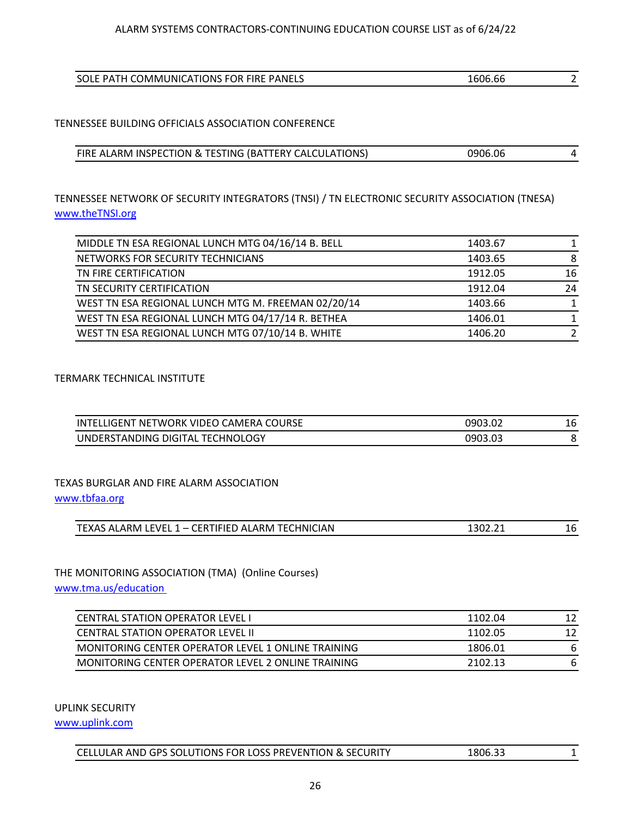| SOLE PATH COMMUNICATIONS FOR FIRE PANELS | .606.66 |  |
|------------------------------------------|---------|--|

## TENNESSEE BUILDING OFFICIALS ASSOCIATION CONFERENCE

| FIRE ALARM INSPECTION & TESTING (BATTERY CALCULATIONS) | 0906.06 |  |
|--------------------------------------------------------|---------|--|

## TENNESSEE NETWORK OF SECURITY INTEGRATORS (TNSI) / TN ELECTRONIC SECURITY ASSOCIATION (TNESA) [www.theTNSI.org](http://www.thetnsi.org/)

| MIDDLE TN ESA REGIONAL LUNCH MTG 04/16/14 B. BELL  | 1403.67 |    |
|----------------------------------------------------|---------|----|
| NETWORKS FOR SECURITY TECHNICIANS                  | 1403.65 | 8  |
| TN FIRE CERTIFICATION                              | 1912.05 | 16 |
| TN SECURITY CERTIFICATION                          | 1912.04 | 24 |
| WEST TN ESA REGIONAL LUNCH MTG M. FREEMAN 02/20/14 | 1403.66 |    |
| WEST TN ESA REGIONAL LUNCH MTG 04/17/14 R. BETHEA  | 1406.01 |    |
| WEST TN ESA REGIONAL LUNCH MTG 07/10/14 B. WHITE   | 1406.20 |    |

#### TERMARK TECHNICAL INSTITUTE

| INTELLIGENT NETWORK VIDEO CAMERA COURSE | 0903.02 | 16 |
|-----------------------------------------|---------|----|
| UNDERSTANDING DIGITAL TECHNOLOGY        | 0903.03 |    |

## TEXAS BURGLAR AND FIRE ALARM ASSOCIATION

[www.tbfaa.org](http://www.tbfaa.org/)

| 1 – CERTIFIED ALARM TECHNICIAN<br><b>TEXAS ALARM LEVEL 1</b> | ຳດາ າ $\cdot$<br>130Z.ZI<br>___ | L6 |
|--------------------------------------------------------------|---------------------------------|----|
|                                                              |                                 |    |

## THE MONITORING ASSOCIATION (TMA) (Online Courses)

[www.tma.us/education](http://www.tma.us/education) 

| CENTRAL STATION OPERATOR LEVEL I                   | 1102.04 | 12 |
|----------------------------------------------------|---------|----|
| <b>CENTRAL STATION OPERATOR LEVEL II</b>           | 1102.05 | 12 |
| MONITORING CENTER OPERATOR LEVEL 1 ONLINE TRAINING | 1806.01 | 6  |
| MONITORING CENTER OPERATOR LEVEL 2 ONLINE TRAINING | 2102.13 | 6  |

UPLINK SECURITY

[www.uplink.com](http://www.uplink.com/)

| CELLULAR AND GPS SOLUTIONS FOR LOSS PREVENTION & SECURITY<br>1806.33 |
|----------------------------------------------------------------------|
|----------------------------------------------------------------------|